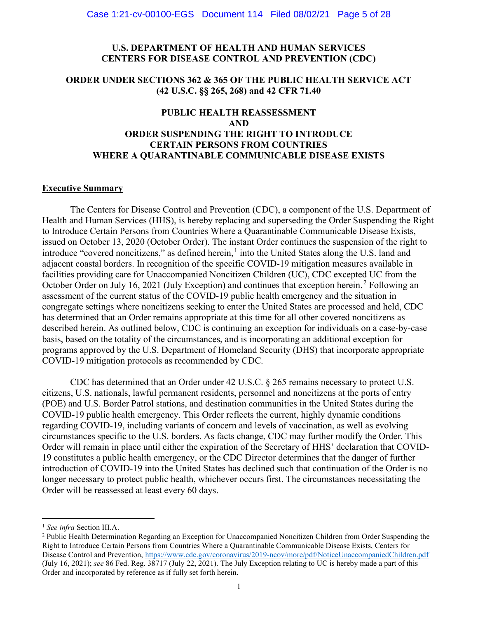#### U.S. DEPARTMENT OF HEALTH AND HUMAN SERVICES CENTERS FOR DISEASE CONTROL AND PREVENTION (CDC)

#### ORDER UNDER SECTIONS 362 & 365 OF THE PUBLIC HEALTH SERVICE ACT (42 U.S.C. §§ 265, 268) and 42 CFR 71.40

# PUBLIC HEALTH REASSESSMENT AND ORDER SUSPENDING THE RIGHT TO INTRODUCE CERTAIN PERSONS FROM COUNTRIES WHERE A QUARANTINABLE COMMUNICABLE DISEASE EXISTS

#### Executive Summary

The Centers for Disease Control and Prevention (CDC), a component of the U.S. Department of Health and Human Services (HHS), is hereby replacing and superseding the Order Suspending the Right to Introduce Certain Persons from Countries Where a Quarantinable Communicable Disease Exists, issued on October 13, 2020 (October Order). The instant Order continues the suspension of the right to introduce "covered noncitizens," as defined herein,<sup>1</sup> into the United States along the U.S. land and adjacent coastal borders. In recognition of the specific COVID-19 mitigation measures available in facilities providing care for Unaccompanied Noncitizen Children (UC), CDC excepted UC from the October Order on July 16, 2021 (July Exception) and continues that exception herein.<sup>2</sup> Following an assessment of the current status of the COVID-19 public health emergency and the situation in congregate settings where noncitizens seeking to enter the United States are processed and held, CDC has determined that an Order remains appropriate at this time for all other covered noncitizens as described herein. As outlined below, CDC is continuing an exception for individuals on a case-by-case basis, based on the totality of the circumstances, and is incorporating an additional exception for programs approved by the U.S. Department of Homeland Security (DHS) that incorporate appropriate COVID-19 mitigation protocols as recommended by CDC.

CDC has determined that an Order under 42 U.S.C. § 265 remains necessary to protect U.S. citizens, U.S. nationals, lawful permanent residents, personnel and noncitizens at the ports of entry (POE) and U.S. Border Patrol stations, and destination communities in the United States during the COVID-19 public health emergency. This Order reflects the current, highly dynamic conditions regarding COVID-19, including variants of concern and levels of vaccination, as well as evolving circumstances specific to the U.S. borders. As facts change, CDC may further modify the Order. This Order will remain in place until either the expiration of the Secretary of HHS' declaration that COVID-19 constitutes a public health emergency, or the CDC Director determines that the danger of further introduction of COVID-19 into the United States has declined such that continuation of the Order is no longer necessary to protect public health, whichever occurs first. The circumstances necessitating the Order will be reassessed at least every 60 days.

<sup>&</sup>lt;sup>1</sup> See infra Section III.A.

<sup>&</sup>lt;sup>2</sup> Public Health Determination Regarding an Exception for Unaccompanied Noncitizen Children from Order Suspending the Right to Introduce Certain Persons from Countries Where a Quarantinable Communicable Disease Exists, Centers for Disease Control and Prevention, https://www.cdc.gov/coronavirus/2019-ncov/more/pdf/NoticeUnaccompaniedChildren.pdf (July 16, 2021); see 86 Fed. Reg. 38717 (July 22, 2021). The July Exception relating to UC is hereby made a part of this Order and incorporated by reference as if fully set forth herein.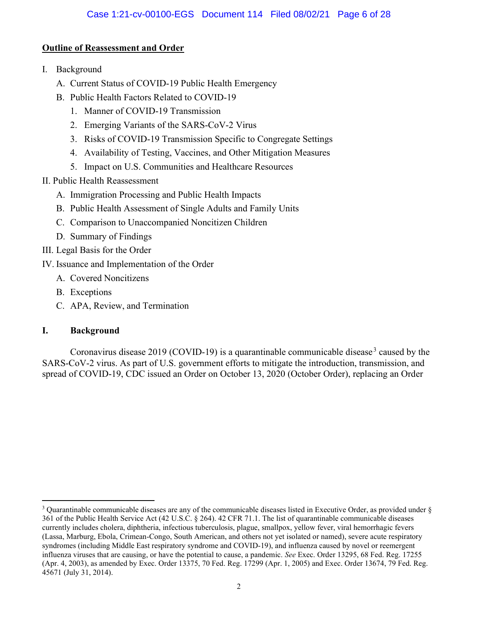## Outline of Reassessment and Order

- I. Background
	- A. Current Status of COVID-19 Public Health Emergency
	- B. Public Health Factors Related to COVID-19
		- 1. Manner of COVID-19 Transmission
		- 2. Emerging Variants of the SARS-CoV-2 Virus
		- 3. Risks of COVID-19 Transmission Specific to Congregate Settings
		- 4. Availability of Testing, Vaccines, and Other Mitigation Measures
		- 5. Impact on U.S. Communities and Healthcare Resources
- II. Public Health Reassessment
	- A. Immigration Processing and Public Health Impacts
	- B. Public Health Assessment of Single Adults and Family Units
	- C. Comparison to Unaccompanied Noncitizen Children
	- D. Summary of Findings
- III. Legal Basis for the Order
- IV. Issuance and Implementation of the Order
	- A. Covered Noncitizens
	- B. Exceptions
	- C. APA, Review, and Termination

# I. Background

Coronavirus disease 2019 (COVID-19) is a quarantinable communicable disease<sup>3</sup> caused by the SARS-CoV-2 virus. As part of U.S. government efforts to mitigate the introduction, transmission, and spread of COVID-19, CDC issued an Order on October 13, 2020 (October Order), replacing an Order

 $3$  Quarantinable communicable diseases are any of the communicable diseases listed in Executive Order, as provided under  $\S$ 361 of the Public Health Service Act (42 U.S.C. § 264). 42 CFR 71.1. The list of quarantinable communicable diseases currently includes cholera, diphtheria, infectious tuberculosis, plague, smallpox, yellow fever, viral hemorrhagic fevers (Lassa, Marburg, Ebola, Crimean-Congo, South American, and others not yet isolated or named), severe acute respiratory syndromes (including Middle East respiratory syndrome and COVID-19), and influenza caused by novel or reemergent influenza viruses that are causing, or have the potential to cause, a pandemic. See Exec. Order 13295, 68 Fed. Reg. 17255 (Apr. 4, 2003), as amended by Exec. Order 13375, 70 Fed. Reg. 17299 (Apr. 1, 2005) and Exec. Order 13674, 79 Fed. Reg. 45671 (July 31, 2014).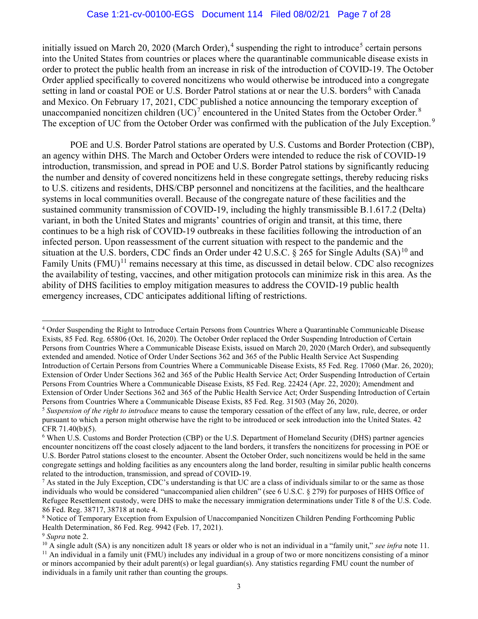initially issued on March 20, 2020 (March Order),<sup>4</sup> suspending the right to introduce<sup>5</sup> certain persons into the United States from countries or places where the quarantinable communicable disease exists in order to protect the public health from an increase in risk of the introduction of COVID-19. The October Order applied specifically to covered noncitizens who would otherwise be introduced into a congregate setting in land or coastal POE or U.S. Border Patrol stations at or near the U.S. borders<sup>6</sup> with Canada and Mexico. On February 17, 2021, CDC published a notice announcing the temporary exception of unaccompanied noncitizen children  $(UC)^7$  encountered in the United States from the October Order.<sup>8</sup> The exception of UC from the October Order was confirmed with the publication of the July Exception.<sup>9</sup>

POE and U.S. Border Patrol stations are operated by U.S. Customs and Border Protection (CBP), an agency within DHS. The March and October Orders were intended to reduce the risk of COVID-19 introduction, transmission, and spread in POE and U.S. Border Patrol stations by significantly reducing the number and density of covered noncitizens held in these congregate settings, thereby reducing risks to U.S. citizens and residents, DHS/CBP personnel and noncitizens at the facilities, and the healthcare systems in local communities overall. Because of the congregate nature of these facilities and the sustained community transmission of COVID-19, including the highly transmissible B.1.617.2 (Delta) variant, in both the United States and migrants' countries of origin and transit, at this time, there continues to be a high risk of COVID-19 outbreaks in these facilities following the introduction of an infected person. Upon reassessment of the current situation with respect to the pandemic and the situation at the U.S. borders, CDC finds an Order under 42 U.S.C.  $\S$  265 for Single Adults (SA)<sup>10</sup> and Family Units  $(FMU)^{11}$  remains necessary at this time, as discussed in detail below. CDC also recognizes the availability of testing, vaccines, and other mitigation protocols can minimize risk in this area. As the ability of DHS facilities to employ mitigation measures to address the COVID-19 public health emergency increases, CDC anticipates additional lifting of restrictions.

<sup>4</sup> Order Suspending the Right to Introduce Certain Persons from Countries Where a Quarantinable Communicable Disease Exists, 85 Fed. Reg. 65806 (Oct. 16, 2020). The October Order replaced the Order Suspending Introduction of Certain Persons from Countries Where a Communicable Disease Exists, issued on March 20, 2020 (March Order), and subsequently extended and amended. Notice of Order Under Sections 362 and 365 of the Public Health Service Act Suspending Introduction of Certain Persons from Countries Where a Communicable Disease Exists, 85 Fed. Reg. 17060 (Mar. 26, 2020); Extension of Order Under Sections 362 and 365 of the Public Health Service Act; Order Suspending Introduction of Certain Persons From Countries Where a Communicable Disease Exists, 85 Fed. Reg. 22424 (Apr. 22, 2020); Amendment and Extension of Order Under Sections 362 and 365 of the Public Health Service Act; Order Suspending Introduction of Certain Persons from Countries Where a Communicable Disease Exists, 85 Fed. Reg. 31503 (May 26, 2020).

 $5$  Suspension of the right to introduce means to cause the temporary cessation of the effect of any law, rule, decree, or order pursuant to which a person might otherwise have the right to be introduced or seek introduction into the United States. 42 CFR 71.40(b)(5).

<sup>6</sup> When U.S. Customs and Border Protection (CBP) or the U.S. Department of Homeland Security (DHS) partner agencies encounter noncitizens off the coast closely adjacent to the land borders, it transfers the noncitizens for processing in POE or U.S. Border Patrol stations closest to the encounter. Absent the October Order, such noncitizens would be held in the same congregate settings and holding facilities as any encounters along the land border, resulting in similar public health concerns related to the introduction, transmission, and spread of COVID-19.

 $^7$  As stated in the July Exception, CDC's understanding is that UC are a class of individuals similar to or the same as those individuals who would be considered "unaccompanied alien children" (see 6 U.S.C. § 279) for purposes of HHS Office of Refugee Resettlement custody, were DHS to make the necessary immigration determinations under Title 8 of the U.S. Code. 86 Fed. Reg. 38717, 38718 at note 4.

<sup>8</sup> Notice of Temporary Exception from Expulsion of Unaccompanied Noncitizen Children Pending Forthcoming Public Health Determination, 86 Fed. Reg. 9942 (Feb. 17, 2021).

<sup>&</sup>lt;sup>9</sup> Supra note 2.

<sup>&</sup>lt;sup>10</sup> A single adult (SA) is any noncitizen adult 18 years or older who is not an individual in a "family unit," see infra note 11.  $11$  An individual in a family unit (FMU) includes any individual in a group of two or more noncitizens consisting of a minor or minors accompanied by their adult parent(s) or legal guardian(s). Any statistics regarding FMU count the number of individuals in a family unit rather than counting the groups.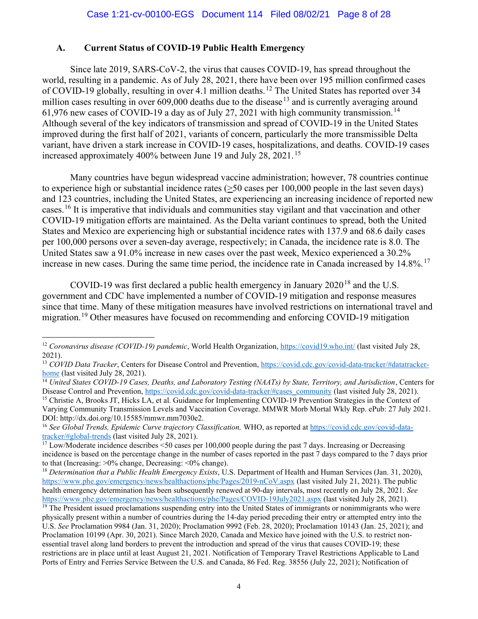#### A. Current Status of COVID-19 Public Health Emergency

Since late 2019, SARS-CoV-2, the virus that causes COVID-19, has spread throughout the world, resulting in a pandemic. As of July 28, 2021, there have been over 195 million confirmed cases of COVID-19 globally, resulting in over 4.1 million deaths.<sup>12</sup> The United States has reported over 34 million cases resulting in over  $609,000$  deaths due to the disease<sup>13</sup> and is currently averaging around 61,976 new cases of COVID-19 a day as of July 27, 2021 with high community transmission.<sup>14</sup> Although several of the key indicators of transmission and spread of COVID-19 in the United States improved during the first half of 2021, variants of concern, particularly the more transmissible Delta variant, have driven a stark increase in COVID-19 cases, hospitalizations, and deaths. COVID-19 cases increased approximately 400% between June 19 and July 28, 2021. <sup>15</sup>

Many countries have begun widespread vaccine administration; however, 78 countries continue to experience high or substantial incidence rates (>50 cases per 100,000 people in the last seven days) and 123 countries, including the United States, are experiencing an increasing incidence of reported new cases.<sup>16</sup> It is imperative that individuals and communities stay vigilant and that vaccination and other COVID-19 mitigation efforts are maintained. As the Delta variant continues to spread, both the United States and Mexico are experiencing high or substantial incidence rates with 137.9 and 68.6 daily cases per 100,000 persons over a seven-day average, respectively; in Canada, the incidence rate is 8.0. The United States saw a 91.0% increase in new cases over the past week, Mexico experienced a 30.2% increase in new cases. During the same time period, the incidence rate in Canada increased by 14.8%.<sup>17</sup>

COVID-19 was first declared a public health emergency in January  $2020^{18}$  and the U.S. government and CDC have implemented a number of COVID-19 mitigation and response measures since that time. Many of these mitigation measures have involved restrictions on international travel and migration.<sup>19</sup> Other measures have focused on recommending and enforcing COVID-19 mitigation

<sup>&</sup>lt;sup>12</sup> Coronavirus disease (COVID-19) pandemic, World Health Organization, https://covid19.who.int/ (last visited July 28, 2021).

<sup>&</sup>lt;sup>13</sup> COVID Data Tracker, Centers for Disease Control and Prevention, https://covid.cdc.gov/covid-data-tracker/#datatrackerhome (last visited July 28, 2021).

<sup>&</sup>lt;sup>14</sup> United States COVID-19 Cases, Deaths, and Laboratory Testing (NAATs) by State, Territory, and Jurisdiction, Centers for Disease Control and Prevention, https://covid.cdc.gov/covid-data-tracker/#cases\_community (last visited July 28, 2021). <sup>15</sup> Christie A, Brooks JT, Hicks LA, et al. Guidance for Implementing COVID-19 Prevention Strategies in the Context of Varying Community Transmission Levels and Vaccination Coverage. MMWR Morb Mortal Wkly Rep. ePub: 27 July 2021. DOI: http://dx.doi.org/10.15585/mmwr.mm7030e2.

<sup>&</sup>lt;sup>16</sup> See Global Trends, Epidemic Curve trajectory Classification, WHO, as reported at https://covid.cdc.gov/covid-datatracker/#global-trends (last visited July 28, 2021).

<sup>&</sup>lt;sup>17</sup> Low/Moderate incidence describes <50 cases per 100,000 people during the past 7 days. Increasing or Decreasing incidence is based on the percentage change in the number of cases reported in the past 7 days compared to the 7 days prior to that (Increasing: >0% change, Decreasing: <0% change).

<sup>&</sup>lt;sup>18</sup> Determination that a Public Health Emergency Exists, U.S. Department of Health and Human Services (Jan. 31, 2020), https://www.phe.gov/emergency/news/healthactions/phe/Pages/2019-nCoV.aspx (last visited July 21, 2021). The public health emergency determination has been subsequently renewed at 90-day intervals, most recently on July 28, 2021. See https://www.phe.gov/emergency/news/healthactions/phe/Pages/COVID-19July2021.aspx (last visited July 28, 2021).

<sup>&</sup>lt;sup>19</sup> The President issued proclamations suspending entry into the United States of immigrants or nonimmigrants who were physically present within a number of countries during the 14-day period preceding their entry or attempted entry into the U.S. See Proclamation 9984 (Jan. 31, 2020); Proclamation 9992 (Feb. 28, 2020); Proclamation 10143 (Jan. 25, 2021); and Proclamation 10199 (Apr. 30, 2021). Since March 2020, Canada and Mexico have joined with the U.S. to restrict nonessential travel along land borders to prevent the introduction and spread of the virus that causes COVID-19; these restrictions are in place until at least August 21, 2021. Notification of Temporary Travel Restrictions Applicable to Land Ports of Entry and Ferries Service Between the U.S. and Canada, 86 Fed. Reg. 38556 (July 22, 2021); Notification of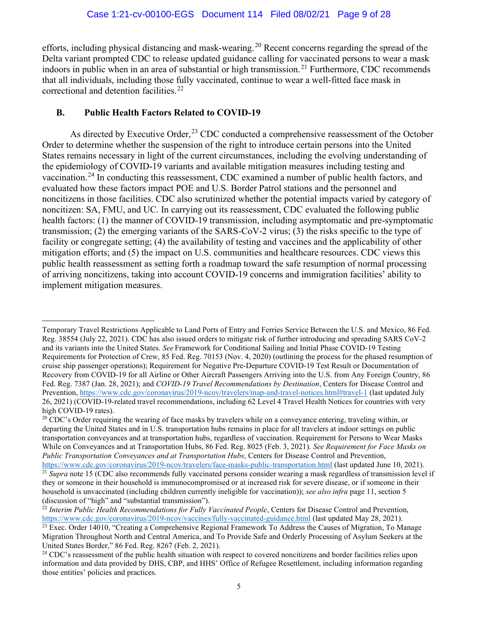efforts, including physical distancing and mask-wearing.<sup>20</sup> Recent concerns regarding the spread of the Delta variant prompted CDC to release updated guidance calling for vaccinated persons to wear a mask indoors in public when in an area of substantial or high transmission.<sup>21</sup> Furthermore, CDC recommends that all individuals, including those fully vaccinated, continue to wear a well-fitted face mask in correctional and detention facilities.<sup>22</sup>

#### B. Public Health Factors Related to COVID-19

As directed by Executive Order,<sup>23</sup> CDC conducted a comprehensive reassessment of the October Order to determine whether the suspension of the right to introduce certain persons into the United States remains necessary in light of the current circumstances, including the evolving understanding of the epidemiology of COVID-19 variants and available mitigation measures including testing and vaccination.<sup>24</sup> In conducting this reassessment, CDC examined a number of public health factors, and evaluated how these factors impact POE and U.S. Border Patrol stations and the personnel and noncitizens in those facilities. CDC also scrutinized whether the potential impacts varied by category of noncitizen: SA, FMU, and UC. In carrying out its reassessment, CDC evaluated the following public health factors: (1) the manner of COVID-19 transmission, including asymptomatic and pre-symptomatic transmission; (2) the emerging variants of the SARS-CoV-2 virus; (3) the risks specific to the type of facility or congregate setting; (4) the availability of testing and vaccines and the applicability of other mitigation efforts; and (5) the impact on U.S. communities and healthcare resources. CDC views this public health reassessment as setting forth a roadmap toward the safe resumption of normal processing of arriving noncitizens, taking into account COVID-19 concerns and immigration facilities' ability to implement mitigation measures.

Temporary Travel Restrictions Applicable to Land Ports of Entry and Ferries Service Between the U.S. and Mexico, 86 Fed. Reg. 38554 (July 22, 2021). CDC has also issued orders to mitigate risk of further introducing and spreading SARS CoV-2 and its variants into the United States. See Framework for Conditional Sailing and Initial Phase COVID-19 Testing Requirements for Protection of Crew, 85 Fed. Reg. 70153 (Nov. 4, 2020) (outlining the process for the phased resumption of cruise ship passenger operations); Requirement for Negative Pre-Departure COVID-19 Test Result or Documentation of Recovery from COVID-19 for all Airline or Other Aircraft Passengers Arriving into the U.S. from Any Foreign Country, 86 Fed. Reg. 7387 (Jan. 28, 2021); and COVID-19 Travel Recommendations by Destination, Centers for Disease Control and Prevention, https://www.cdc.gov/coronavirus/2019-ncov/travelers/map-and-travel-notices.html#travel-1 (last updated July 26, 2021) (COVID-19-related travel recommendations, including 62 Level 4 Travel Health Notices for countries with very high COVID-19 rates).

 $20$  CDC's Order requiring the wearing of face masks by travelers while on a conveyance entering, traveling within, or departing the United States and in U.S. transportation hubs remains in place for all travelers at indoor settings on public transportation conveyances and at transportation hubs, regardless of vaccination. Requirement for Persons to Wear Masks While on Conveyances and at Transportation Hubs, 86 Fed. Reg. 8025 (Feb. 3, 2021). See Requirement for Face Masks on Public Transportation Conveyances and at Transportation Hubs, Centers for Disease Control and Prevention,

https://www.cdc.gov/coronavirus/2019-ncov/travelers/face-masks-public-transportation.html (last updated June 10, 2021).  $21$  Supra note 15 (CDC also recommends fully vaccinated persons consider wearing a mask regardless of transmission level if they or someone in their household is immunocompromised or at increased risk for severe disease, or if someone in their household is unvaccinated (including children currently ineligible for vaccination)); see also infra page 11, section 5 (discussion of "high" and "substantial transmission").

 $^{22}$  Interim Public Health Recommendations for Fully Vaccinated People, Centers for Disease Control and Prevention, https://www.cdc.gov/coronavirus/2019-ncov/vaccines/fully-vaccinated-guidance.html (last updated May 28, 2021).  $\frac{23}{23}$  Exec. Order 14010, "Creating a Comprehensive Regional Framework To Address the Causes of Migration, To Manage

Migration Throughout North and Central America, and To Provide Safe and Orderly Processing of Asylum Seekers at the United States Border," 86 Fed. Reg. 8267 (Feb. 2, 2021).

 $24$  CDC's reassessment of the public health situation with respect to covered noncitizens and border facilities relies upon information and data provided by DHS, CBP, and HHS' Office of Refugee Resettlement, including information regarding those entities' policies and practices.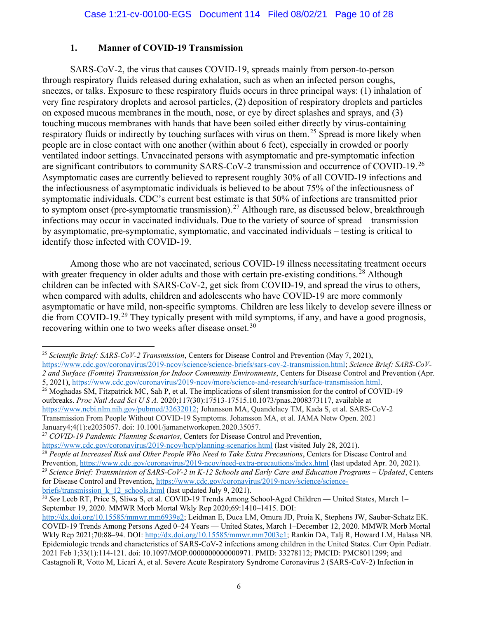#### 1. Manner of COVID-19 Transmission

SARS-CoV-2, the virus that causes COVID-19, spreads mainly from person-to-person through respiratory fluids released during exhalation, such as when an infected person coughs, sneezes, or talks. Exposure to these respiratory fluids occurs in three principal ways: (1) inhalation of very fine respiratory droplets and aerosol particles, (2) deposition of respiratory droplets and particles on exposed mucous membranes in the mouth, nose, or eye by direct splashes and sprays, and (3) touching mucous membranes with hands that have been soiled either directly by virus-containing respiratory fluids or indirectly by touching surfaces with virus on them.<sup>25</sup> Spread is more likely when people are in close contact with one another (within about 6 feet), especially in crowded or poorly ventilated indoor settings. Unvaccinated persons with asymptomatic and pre-symptomatic infection are significant contributors to community SARS-CoV-2 transmission and occurrence of COVID-19. <sup>26</sup> Asymptomatic cases are currently believed to represent roughly 30% of all COVID-19 infections and the infectiousness of asymptomatic individuals is believed to be about 75% of the infectiousness of symptomatic individuals. CDC's current best estimate is that 50% of infections are transmitted prior to symptom onset (pre-symptomatic transmission).<sup>27</sup> Although rare, as discussed below, breakthrough infections may occur in vaccinated individuals. Due to the variety of source of spread – transmission by asymptomatic, pre-symptomatic, symptomatic, and vaccinated individuals – testing is critical to identify those infected with COVID-19.

Among those who are not vaccinated, serious COVID-19 illness necessitating treatment occurs with greater frequency in older adults and those with certain pre-existing conditions.<sup>28</sup> Although children can be infected with SARS-CoV-2, get sick from COVID-19, and spread the virus to others, when compared with adults, children and adolescents who have COVID-19 are more commonly asymptomatic or have mild, non-specific symptoms. Children are less likely to develop severe illness or die from COVID-19.<sup>29</sup> They typically present with mild symptoms, if any, and have a good prognosis, recovering within one to two weeks after disease onset.<sup>30</sup>

<sup>&</sup>lt;sup>25</sup> Scientific Brief: SARS-CoV-2 Transmission, Centers for Disease Control and Prevention (May 7, 2021), https://www.cdc.gov/coronavirus/2019-ncov/science/science-briefs/sars-cov-2-transmission.html; Science Brief: SARS-CoV-

<sup>2</sup> and Surface (Fomite) Transmission for Indoor Community Environments, Centers for Disease Control and Prevention (Apr. 5, 2021), https://www.cdc.gov/coronavirus/2019-ncov/more/science-and-research/surface-transmission.html.

<sup>&</sup>lt;sup>26</sup> Moghadas SM, Fitzpatrick MC, Sah P, et al. The implications of silent transmission for the control of COVID-19 outbreaks. Proc Natl Acad Sci U S A. 2020;117(30):17513-17515.10.1073/pnas.2008373117, available at https://www.ncbi.nlm.nih.gov/pubmed/32632012; Johansson MA, Quandelacy TM, Kada S, et al. SARS-CoV-2 Transmission From People Without COVID-19 Symptoms. Johansson MA, et al. JAMA Netw Open. 2021 January4;4(1):e2035057. doi: 10.1001/jamanetworkopen.2020.35057.

<sup>&</sup>lt;sup>27</sup> COVID-19 Pandemic Planning Scenarios, Centers for Disease Control and Prevention,

https://www.cdc.gov/coronavirus/2019-ncov/hcp/planning-scenarios.html (last visited July 28, 2021). <sup>28</sup> People at Increased Risk and Other People Who Need to Take Extra Precautions, Centers for Disease Control and Prevention, https://www.cdc.gov/coronavirus/2019-ncov/need-extra-precautions/index.html (last updated Apr. 20, 2021).

<sup>&</sup>lt;sup>29</sup> Science Brief: Transmission of SARS-CoV-2 in K-12 Schools and Early Care and Education Programs – Updated, Centers for Disease Control and Prevention, https://www.cdc.gov/coronavirus/2019-ncov/science/sciencebriefs/transmission k 12 schools.html (last updated July 9, 2021).

<sup>&</sup>lt;sup>30</sup> See Leeb RT, Price S, Sliwa S, et al. COVID-19 Trends Among School-Aged Children — United States, March 1-September 19, 2020. MMWR Morb Mortal Wkly Rep 2020;69:1410–1415. DOI:

http://dx.doi.org/10.15585/mmwr.mm6939e2; Leidman E, Duca LM, Omura JD, Proia K, Stephens JW, Sauber-Schatz EK. COVID-19 Trends Among Persons Aged 0–24 Years — United States, March 1–December 12, 2020. MMWR Morb Mortal Wkly Rep 2021;70:88–94. DOI: http://dx.doi.org/10.15585/mmwr.mm7003e1; Rankin DA, Talj R, Howard LM, Halasa NB. Epidemiologic trends and characteristics of SARS-CoV-2 infections among children in the United States. Curr Opin Pediatr. 2021 Feb 1;33(1):114-121. doi: 10.1097/MOP.0000000000000971. PMID: 33278112; PMCID: PMC8011299; and Castagnoli R, Votto M, Licari A, et al. Severe Acute Respiratory Syndrome Coronavirus 2 (SARS-CoV-2) Infection in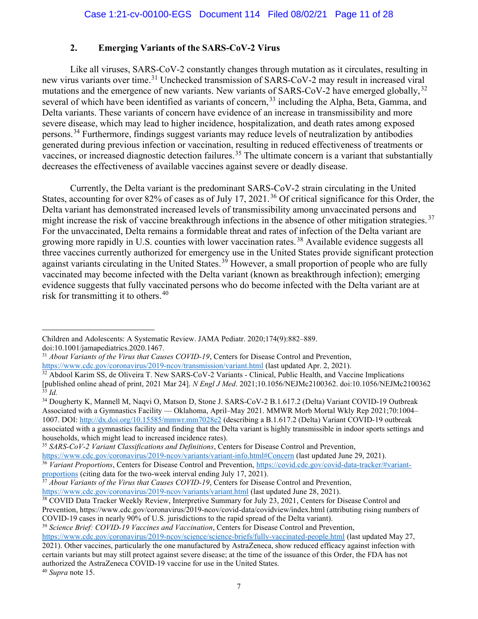# 2. Emerging Variants of the SARS-CoV-2 Virus

Like all viruses, SARS-CoV-2 constantly changes through mutation as it circulates, resulting in new virus variants over time.<sup>31</sup> Unchecked transmission of SARS-CoV-2 may result in increased viral mutations and the emergence of new variants. New variants of SARS-CoV-2 have emerged globally, <sup>32</sup> several of which have been identified as variants of concern,<sup>33</sup> including the Alpha, Beta, Gamma, and Delta variants. These variants of concern have evidence of an increase in transmissibility and more severe disease, which may lead to higher incidence, hospitalization, and death rates among exposed persons.<sup>34</sup> Furthermore, findings suggest variants may reduce levels of neutralization by antibodies generated during previous infection or vaccination, resulting in reduced effectiveness of treatments or vaccines, or increased diagnostic detection failures.<sup>35</sup> The ultimate concern is a variant that substantially decreases the effectiveness of available vaccines against severe or deadly disease.

Currently, the Delta variant is the predominant SARS-CoV-2 strain circulating in the United States, accounting for over 82% of cases as of July 17, 2021.<sup>36</sup> Of critical significance for this Order, the Delta variant has demonstrated increased levels of transmissibility among unvaccinated persons and might increase the risk of vaccine breakthrough infections in the absence of other mitigation strategies.<sup>37</sup> For the unvaccinated, Delta remains a formidable threat and rates of infection of the Delta variant are growing more rapidly in U.S. counties with lower vaccination rates. <sup>38</sup> Available evidence suggests all three vaccines currently authorized for emergency use in the United States provide significant protection against variants circulating in the United States.<sup>39</sup> However, a small proportion of people who are fully vaccinated may become infected with the Delta variant (known as breakthrough infection); emerging evidence suggests that fully vaccinated persons who do become infected with the Delta variant are at risk for transmitting it to others.<sup>40</sup>

<sup>34</sup> Dougherty K, Mannell M, Naqvi O, Matson D, Stone J. SARS-CoV-2 B.1.617.2 (Delta) Variant COVID-19 Outbreak Associated with a Gymnastics Facility — Oklahoma, April–May 2021. MMWR Morb Mortal Wkly Rep 2021;70:1004– 1007. DOI: http://dx.doi.org/10.15585/mmwr.mm7028e2 (describing a B.1.617.2 (Delta) Variant COVID-19 outbreak associated with a gymnastics facility and finding that the Delta variant is highly transmissible in indoor sports settings and households, which might lead to increased incidence rates).

Children and Adolescents: A Systematic Review. JAMA Pediatr. 2020;174(9):882–889. doi:10.1001/jamapediatrics.2020.1467.

<sup>&</sup>lt;sup>31</sup> About Variants of the Virus that Causes COVID-19, Centers for Disease Control and Prevention, https://www.cdc.gov/coronavirus/2019-ncov/transmission/variant.html (last updated Apr. 2, 2021).

<sup>&</sup>lt;sup>32</sup> Abdool Karim SS, de Oliveira T. New SARS-CoV-2 Variants - Clinical, Public Health, and Vaccine Implications [published online ahead of print, 2021 Mar 24]. N Engl J Med. 2021;10.1056/NEJMc2100362. doi:10.1056/NEJMc2100362  $33$  Id.

<sup>&</sup>lt;sup>35</sup> SARS-CoV-2 Variant Classifications and Definitions, Centers for Disease Control and Prevention, https://www.cdc.gov/coronavirus/2019-ncov/variants/variant-info.html#Concern (last updated June 29, 2021).

<sup>&</sup>lt;sup>36</sup> Variant Proportions, Centers for Disease Control and Prevention, https://covid.cdc.gov/covid-data-tracker/#variantproportions (citing data for the two-week interval ending July 17, 2021).

 $37$  About Variants of the Virus that Causes COVID-19, Centers for Disease Control and Prevention, https://www.cdc.gov/coronavirus/2019-ncov/variants/variant.html (last updated June 28, 2021).

<sup>38</sup> COVID Data Tracker Weekly Review, Interpretive Summary for July 23, 2021, Centers for Disease Control and Prevention, https://www.cdc.gov/coronavirus/2019-ncov/covid-data/covidview/index.html (attributing rising numbers of COVID-19 cases in nearly 90% of U.S. jurisdictions to the rapid spread of the Delta variant).

<sup>&</sup>lt;sup>39</sup> Science Brief: COVID-19 Vaccines and Vaccination, Centers for Disease Control and Prevention,

https://www.cdc.gov/coronavirus/2019-ncov/science/science-briefs/fully-vaccinated-people.html (last updated May 27, 2021). Other vaccines, particularly the one manufactured by AstraZeneca, show reduced efficacy against infection with certain variants but may still protect against severe disease; at the time of the issuance of this Order, the FDA has not authorized the AstraZeneca COVID-19 vaccine for use in the United States.

 $40$  Supra note 15.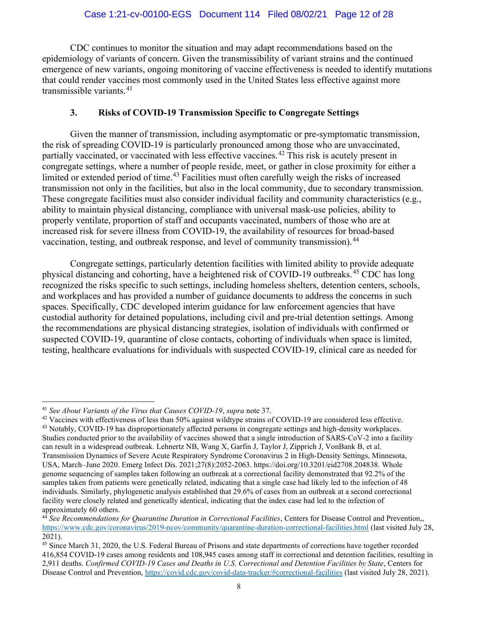CDC continues to monitor the situation and may adapt recommendations based on the epidemiology of variants of concern. Given the transmissibility of variant strains and the continued emergence of new variants, ongoing monitoring of vaccine effectiveness is needed to identify mutations that could render vaccines most commonly used in the United States less effective against more transmissible variants. $41$ 

#### 3. Risks of COVID-19 Transmission Specific to Congregate Settings

Given the manner of transmission, including asymptomatic or pre-symptomatic transmission, the risk of spreading COVID-19 is particularly pronounced among those who are unvaccinated, partially vaccinated, or vaccinated with less effective vaccines.<sup>42</sup> This risk is acutely present in congregate settings, where a number of people reside, meet, or gather in close proximity for either a limited or extended period of time.<sup>43</sup> Facilities must often carefully weigh the risks of increased transmission not only in the facilities, but also in the local community, due to secondary transmission. These congregate facilities must also consider individual facility and community characteristics (e.g., ability to maintain physical distancing, compliance with universal mask-use policies, ability to properly ventilate, proportion of staff and occupants vaccinated, numbers of those who are at increased risk for severe illness from COVID-19, the availability of resources for broad-based vaccination, testing, and outbreak response, and level of community transmission).<sup>44</sup>

Congregate settings, particularly detention facilities with limited ability to provide adequate physical distancing and cohorting, have a heightened risk of COVID-19 outbreaks. <sup>45</sup> CDC has long recognized the risks specific to such settings, including homeless shelters, detention centers, schools, and workplaces and has provided a number of guidance documents to address the concerns in such spaces. Specifically, CDC developed interim guidance for law enforcement agencies that have custodial authority for detained populations, including civil and pre-trial detention settings. Among the recommendations are physical distancing strategies, isolation of individuals with confirmed or suspected COVID-19, quarantine of close contacts, cohorting of individuals when space is limited, testing, healthcare evaluations for individuals with suspected COVID-19, clinical care as needed for

 $41$  See About Variants of the Virus that Causes COVID-19, supra note 37.

<sup>&</sup>lt;sup>42</sup> Vaccines with effectiveness of less than 50% against wildtype strains of COVID-19 are considered less effective. <sup>43</sup> Notably, COVID-19 has disproportionately affected persons in congregate settings and high-density workplaces. Studies conducted prior to the availability of vaccines showed that a single introduction of SARS-CoV-2 into a facility can result in a widespread outbreak. Lehnertz NB, Wang X, Garfin J, Taylor J, Zipprich J, VonBank B, et al. Transmission Dynamics of Severe Acute Respiratory Syndrome Coronavirus 2 in High-Density Settings, Minnesota, USA, March–June 2020. Emerg Infect Dis. 2021;27(8):2052-2063. https://doi.org/10.3201/eid2708.204838. Whole genome sequencing of samples taken following an outbreak at a correctional facility demonstrated that 92.2% of the samples taken from patients were genetically related, indicating that a single case had likely led to the infection of 48 individuals. Similarly, phylogenetic analysis established that 29.6% of cases from an outbreak at a second correctional facility were closely related and genetically identical, indicating that the index case had led to the infection of approximately 60 others.

 $44$  See Recommendations for Quarantine Duration in Correctional Facilities, Centers for Disease Control and Prevention,, https://www.cdc.gov/coronavirus/2019-ncov/community/quarantine-duration-correctional-facilities.html (last visited July 28, 2021).

<sup>45</sup> Since March 31, 2020, the U.S. Federal Bureau of Prisons and state departments of corrections have together recorded 416,854 COVID-19 cases among residents and 108,945 cases among staff in correctional and detention facilities, resulting in 2,911 deaths. Confirmed COVID-19 Cases and Deaths in U.S. Correctional and Detention Facilities by State, Centers for Disease Control and Prevention, https://covid.cdc.gov/covid-data-tracker/#correctional-facilities (last visited July 28, 2021).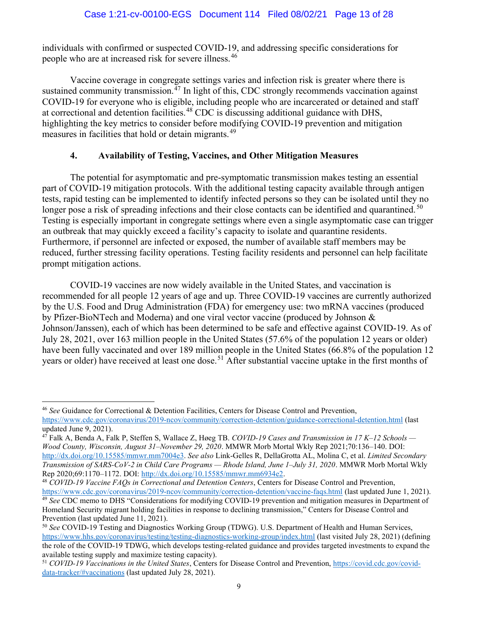individuals with confirmed or suspected COVID-19, and addressing specific considerations for people who are at increased risk for severe illness.<sup>46</sup>

Vaccine coverage in congregate settings varies and infection risk is greater where there is sustained community transmission.<sup>47</sup> In light of this, CDC strongly recommends vaccination against COVID-19 for everyone who is eligible, including people who are incarcerated or detained and staff at correctional and detention facilities.<sup>48</sup> CDC is discussing additional guidance with DHS, highlighting the key metrics to consider before modifying COVID-19 prevention and mitigation measures in facilities that hold or detain migrants.<sup>49</sup>

# 4. Availability of Testing, Vaccines, and Other Mitigation Measures

The potential for asymptomatic and pre-symptomatic transmission makes testing an essential part of COVID-19 mitigation protocols. With the additional testing capacity available through antigen tests, rapid testing can be implemented to identify infected persons so they can be isolated until they no longer pose a risk of spreading infections and their close contacts can be identified and quarantined.<sup>50</sup> Testing is especially important in congregate settings where even a single asymptomatic case can trigger an outbreak that may quickly exceed a facility's capacity to isolate and quarantine residents. Furthermore, if personnel are infected or exposed, the number of available staff members may be reduced, further stressing facility operations. Testing facility residents and personnel can help facilitate prompt mitigation actions.

COVID-19 vaccines are now widely available in the United States, and vaccination is recommended for all people 12 years of age and up. Three COVID-19 vaccines are currently authorized by the U.S. Food and Drug Administration (FDA) for emergency use: two mRNA vaccines (produced by Pfizer-BioNTech and Moderna) and one viral vector vaccine (produced by Johnson & Johnson/Janssen), each of which has been determined to be safe and effective against COVID-19. As of July 28, 2021, over 163 million people in the United States (57.6% of the population 12 years or older) have been fully vaccinated and over 189 million people in the United States (66.8% of the population 12 years or older) have received at least one dose.<sup>51</sup> After substantial vaccine uptake in the first months of

<sup>46</sup> See Guidance for Correctional & Detention Facilities, Centers for Disease Control and Prevention, https://www.cdc.gov/coronavirus/2019-ncov/community/correction-detention/guidance-correctional-detention.html (last

updated June 9, 2021).

<sup>&</sup>lt;sup>47</sup> Falk A, Benda A, Falk P, Steffen S, Wallace Z, Høeg TB. *COVID-19 Cases and Transmission in 17 K–12 Schools* — Wood County, Wisconsin, August 31–November 29, 2020. MMWR Morb Mortal Wkly Rep 2021;70:136–140. DOI: http://dx.doi.org/10.15585/mmwr.mm7004e3. See also Link-Gelles R, DellaGrotta AL, Molina C, et al. Limited Secondary Transmission of SARS-CoV-2 in Child Care Programs — Rhode Island, June 1–July 31, 2020. MMWR Morb Mortal Wkly Rep 2020;69:1170–1172. DOI: http://dx.doi.org/10.15585/mmwr.mm6934e2.

<sup>&</sup>lt;sup>48</sup> COVID-19 Vaccine FAQs in Correctional and Detention Centers, Centers for Disease Control and Prevention, https://www.cdc.gov/coronavirus/2019-ncov/community/correction-detention/vaccine-faqs.html (last updated June 1, 2021).

<sup>&</sup>lt;sup>49</sup> See CDC memo to DHS "Considerations for modifying COVID-19 prevention and mitigation measures in Department of Homeland Security migrant holding facilities in response to declining transmission," Centers for Disease Control and Prevention (last updated June 11, 2021).

<sup>&</sup>lt;sup>50</sup> See COVID-19 Testing and Diagnostics Working Group (TDWG). U.S. Department of Health and Human Services, https://www.hhs.gov/coronavirus/testing/testing-diagnostics-working-group/index.html (last visited July 28, 2021) (defining the role of the COVID-19 TDWG, which develops testing-related guidance and provides targeted investments to expand the available testing supply and maximize testing capacity).

<sup>&</sup>lt;sup>51</sup> COVID-19 Vaccinations in the United States, Centers for Disease Control and Prevention, https://covid.cdc.gov/coviddata-tracker/#vaccinations (last updated July 28, 2021).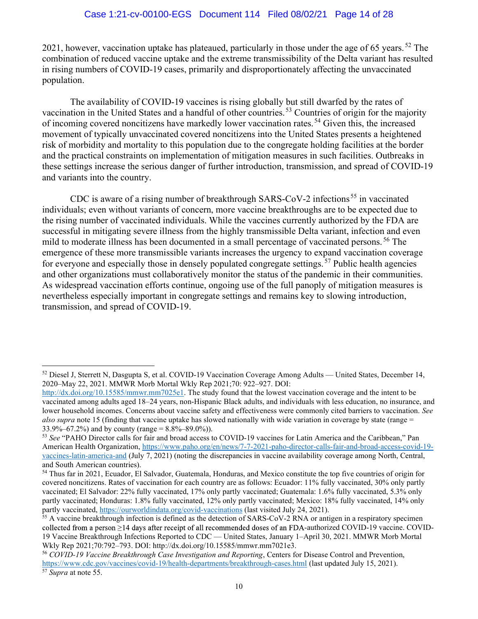2021, however, vaccination uptake has plateaued, particularly in those under the age of 65 years.<sup>52</sup> The combination of reduced vaccine uptake and the extreme transmissibility of the Delta variant has resulted in rising numbers of COVID-19 cases, primarily and disproportionately affecting the unvaccinated population.

The availability of COVID-19 vaccines is rising globally but still dwarfed by the rates of vaccination in the United States and a handful of other countries. <sup>53</sup> Countries of origin for the majority of incoming covered noncitizens have markedly lower vaccination rates. <sup>54</sup> Given this, the increased movement of typically unvaccinated covered noncitizens into the United States presents a heightened risk of morbidity and mortality to this population due to the congregate holding facilities at the border and the practical constraints on implementation of mitigation measures in such facilities. Outbreaks in these settings increase the serious danger of further introduction, transmission, and spread of COVID-19 and variants into the country.

CDC is aware of a rising number of breakthrough SARS-CoV-2 infections<sup>55</sup> in vaccinated individuals; even without variants of concern, more vaccine breakthroughs are to be expected due to the rising number of vaccinated individuals. While the vaccines currently authorized by the FDA are successful in mitigating severe illness from the highly transmissible Delta variant, infection and even mild to moderate illness has been documented in a small percentage of vaccinated persons.<sup>56</sup> The emergence of these more transmissible variants increases the urgency to expand vaccination coverage for everyone and especially those in densely populated congregate settings.<sup>57</sup> Public health agencies and other organizations must collaboratively monitor the status of the pandemic in their communities. As widespread vaccination efforts continue, ongoing use of the full panoply of mitigation measures is nevertheless especially important in congregate settings and remains key to slowing introduction, transmission, and spread of COVID-19.

<sup>52</sup> Diesel J, Sterrett N, Dasgupta S, et al. COVID-19 Vaccination Coverage Among Adults — United States, December 14, 2020–May 22, 2021. MMWR Morb Mortal Wkly Rep 2021;70: 922–927. DOI:

http://dx.doi.org/10.15585/mmwr.mm7025e1. The study found that the lowest vaccination coverage and the intent to be vaccinated among adults aged 18–24 years, non-Hispanic Black adults, and individuals with less education, no insurance, and lower household incomes. Concerns about vaccine safety and effectiveness were commonly cited barriers to vaccination. See also supra note 15 (finding that vaccine uptake has slowed nationally with wide variation in coverage by state (range  $=$ 33.9%–67.2%) and by county (range =  $8.8\%$ – $89.0\%$ )).

<sup>53</sup> See "PAHO Director calls for fair and broad access to COVID-19 vaccines for Latin America and the Caribbean," Pan American Health Organization, https://www.paho.org/en/news/7-7-2021-paho-director-calls-fair-and-broad-access-covid-19 vaccines-latin-america-and (July 7, 2021) (noting the discrepancies in vaccine availability coverage among North, Central, and South American countries).

<sup>54</sup> Thus far in 2021, Ecuador, El Salvador, Guatemala, Honduras, and Mexico constitute the top five countries of origin for covered noncitizens. Rates of vaccination for each country are as follows: Ecuador: 11% fully vaccinated, 30% only partly vaccinated; El Salvador: 22% fully vaccinated, 17% only partly vaccinated; Guatemala: 1.6% fully vaccinated, 5.3% only partly vaccinated; Honduras: 1.8% fully vaccinated, 12% only partly vaccinated; Mexico: 18% fully vaccinated, 14% only partly vaccinated, https://ourworldindata.org/covid-vaccinations (last visited July 24, 2021).

<sup>&</sup>lt;sup>55</sup> A vaccine breakthrough infection is defined as the detection of SARS-CoV-2 RNA or antigen in a respiratory specimen collected from a person  $\geq$ 14 days after receipt of all recommended doses of an FDA-authorized COVID-19 vaccine. COVID-19 Vaccine Breakthrough Infections Reported to CDC — United States, January 1–April 30, 2021. MMWR Morb Mortal Wkly Rep 2021;70:792–793. DOI: http://dx.doi.org/10.15585/mmwr.mm7021e3.

<sup>56</sup> COVID-19 Vaccine Breakthrough Case Investigation and Reporting, Centers for Disease Control and Prevention, https://www.cdc.gov/vaccines/covid-19/health-departments/breakthrough-cases.html (last updated July 15, 2021).

<sup>&</sup>lt;sup>57</sup> Supra at note 55.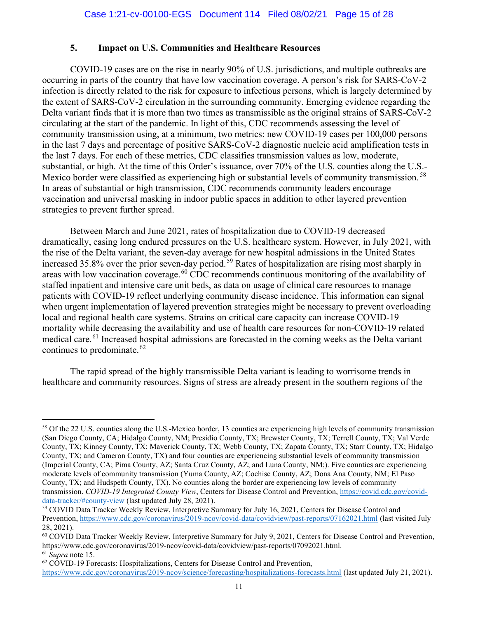# 5. Impact on U.S. Communities and Healthcare Resources

COVID-19 cases are on the rise in nearly 90% of U.S. jurisdictions, and multiple outbreaks are occurring in parts of the country that have low vaccination coverage. A person's risk for SARS-CoV-2 infection is directly related to the risk for exposure to infectious persons, which is largely determined by the extent of SARS-CoV-2 circulation in the surrounding community. Emerging evidence regarding the Delta variant finds that it is more than two times as transmissible as the original strains of SARS-CoV-2 circulating at the start of the pandemic. In light of this, CDC recommends assessing the level of community transmission using, at a minimum, two metrics: new COVID-19 cases per 100,000 persons in the last 7 days and percentage of positive SARS-CoV-2 diagnostic nucleic acid amplification tests in the last 7 days. For each of these metrics, CDC classifies transmission values as low, moderate, substantial, or high. At the time of this Order's issuance, over 70% of the U.S. counties along the U.S.- Mexico border were classified as experiencing high or substantial levels of community transmission.<sup>58</sup> In areas of substantial or high transmission, CDC recommends community leaders encourage vaccination and universal masking in indoor public spaces in addition to other layered prevention strategies to prevent further spread.

Between March and June 2021, rates of hospitalization due to COVID-19 decreased dramatically, easing long endured pressures on the U.S. healthcare system. However, in July 2021, with the rise of the Delta variant, the seven-day average for new hospital admissions in the United States increased 35.8% over the prior seven-day period.<sup>59</sup> Rates of hospitalization are rising most sharply in areas with low vaccination coverage.<sup>60</sup> CDC recommends continuous monitoring of the availability of staffed inpatient and intensive care unit beds, as data on usage of clinical care resources to manage patients with COVID-19 reflect underlying community disease incidence. This information can signal when urgent implementation of layered prevention strategies might be necessary to prevent overloading local and regional health care systems. Strains on critical care capacity can increase COVID-19 mortality while decreasing the availability and use of health care resources for non-COVID-19 related medical care.<sup>61</sup> Increased hospital admissions are forecasted in the coming weeks as the Delta variant continues to predominate.<sup>62</sup>

The rapid spread of the highly transmissible Delta variant is leading to worrisome trends in healthcare and community resources. Signs of stress are already present in the southern regions of the

<sup>&</sup>lt;sup>58</sup> Of the 22 U.S. counties along the U.S.-Mexico border, 13 counties are experiencing high levels of community transmission (San Diego County, CA; Hidalgo County, NM; Presidio County, TX; Brewster County, TX; Terrell County, TX; Val Verde County, TX; Kinney County, TX; Maverick County, TX; Webb County, TX; Zapata County, TX; Starr County, TX; Hidalgo County, TX; and Cameron County, TX) and four counties are experiencing substantial levels of community transmission (Imperial County, CA; Pima County, AZ; Santa Cruz County, AZ; and Luna County, NM;). Five counties are experiencing moderate levels of community transmission (Yuma County, AZ; Cochise County, AZ; Dona Ana County, NM; El Paso County, TX; and Hudspeth County, TX). No counties along the border are experiencing low levels of community transmission. COVID-19 Integrated County View, Centers for Disease Control and Prevention, https://covid.cdc.gov/coviddata-tracker/#county-view (last updated July 28, 2021).

<sup>59</sup> COVID Data Tracker Weekly Review, Interpretive Summary for July 16, 2021, Centers for Disease Control and Prevention, https://www.cdc.gov/coronavirus/2019-ncov/covid-data/covidview/past-reports/07162021.html (last visited July 28, 2021).

 $60$  COVID Data Tracker Weekly Review, Interpretive Summary for July 9, 2021, Centers for Disease Control and Prevention, https://www.cdc.gov/coronavirus/2019-ncov/covid-data/covidview/past-reports/07092021.html. <sup>61</sup> Supra note 15.

 $62$  COVID-19 Forecasts: Hospitalizations, Centers for Disease Control and Prevention,

https://www.cdc.gov/coronavirus/2019-ncov/science/forecasting/hospitalizations-forecasts.html (last updated July 21, 2021).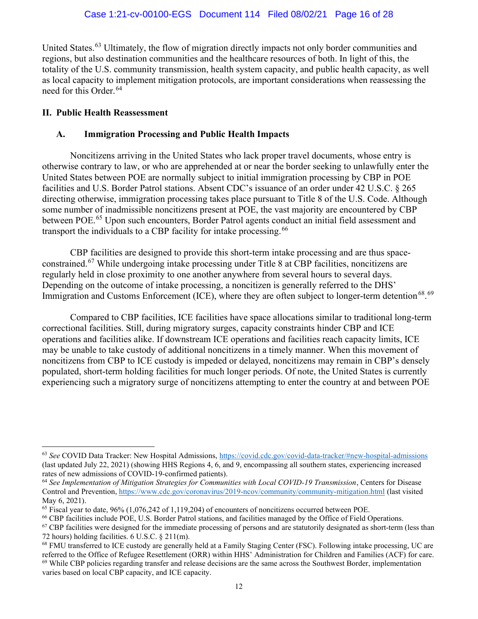United States.<sup>63</sup> Ultimately, the flow of migration directly impacts not only border communities and regions, but also destination communities and the healthcare resources of both. In light of this, the totality of the U.S. community transmission, health system capacity, and public health capacity, as well as local capacity to implement mitigation protocols, are important considerations when reassessing the need for this Order.<sup>64</sup>

## II. Public Health Reassessment

# A. Immigration Processing and Public Health Impacts

Noncitizens arriving in the United States who lack proper travel documents, whose entry is otherwise contrary to law, or who are apprehended at or near the border seeking to unlawfully enter the United States between POE are normally subject to initial immigration processing by CBP in POE facilities and U.S. Border Patrol stations. Absent CDC's issuance of an order under 42 U.S.C. § 265 directing otherwise, immigration processing takes place pursuant to Title 8 of the U.S. Code. Although some number of inadmissible noncitizens present at POE, the vast majority are encountered by CBP between POE.<sup>65</sup> Upon such encounters, Border Patrol agents conduct an initial field assessment and transport the individuals to a CBP facility for intake processing.<sup>66</sup>

CBP facilities are designed to provide this short-term intake processing and are thus spaceconstrained.<sup>67</sup> While undergoing intake processing under Title 8 at CBP facilities, noncitizens are regularly held in close proximity to one another anywhere from several hours to several days. Depending on the outcome of intake processing, a noncitizen is generally referred to the DHS' Immigration and Customs Enforcement (ICE), where they are often subject to longer-term detention<sup>68</sup>.<sup>69</sup>

Compared to CBP facilities, ICE facilities have space allocations similar to traditional long-term correctional facilities. Still, during migratory surges, capacity constraints hinder CBP and ICE operations and facilities alike. If downstream ICE operations and facilities reach capacity limits, ICE may be unable to take custody of additional noncitizens in a timely manner. When this movement of noncitizens from CBP to ICE custody is impeded or delayed, noncitizens may remain in CBP's densely populated, short-term holding facilities for much longer periods. Of note, the United States is currently experiencing such a migratory surge of noncitizens attempting to enter the country at and between POE

 $^{63}$  See COVID Data Tracker: New Hospital Admissions, https://covid.cdc.gov/covid-data-tracker/#new-hospital-admissions (last updated July 22, 2021) (showing HHS Regions 4, 6, and 9, encompassing all southern states, experiencing increased rates of new admissions of COVID-19-confirmed patients).

 $64$  See Implementation of Mitigation Strategies for Communities with Local COVID-19 Transmission, Centers for Disease Control and Prevention, https://www.cdc.gov/coronavirus/2019-ncov/community/community-mitigation.html (last visited May 6, 2021).

 $^{65}$  Fiscal year to date, 96% (1,076,242 of 1,119,204) of encounters of noncitizens occurred between POE.

<sup>66</sup> CBP facilities include POE, U.S. Border Patrol stations, and facilities managed by the Office of Field Operations.

 $67$  CBP facilities were designed for the immediate processing of persons and are statutorily designated as short-term (less than 72 hours) holding facilities. 6 U.S.C. § 211(m).

<sup>68</sup> FMU transferred to ICE custody are generally held at a Family Staging Center (FSC). Following intake processing, UC are referred to the Office of Refugee Resettlement (ORR) within HHS' Administration for Children and Families (ACF) for care.  $69$  While CBP policies regarding transfer and release decisions are the same across the Southwest Border, implementation varies based on local CBP capacity, and ICE capacity.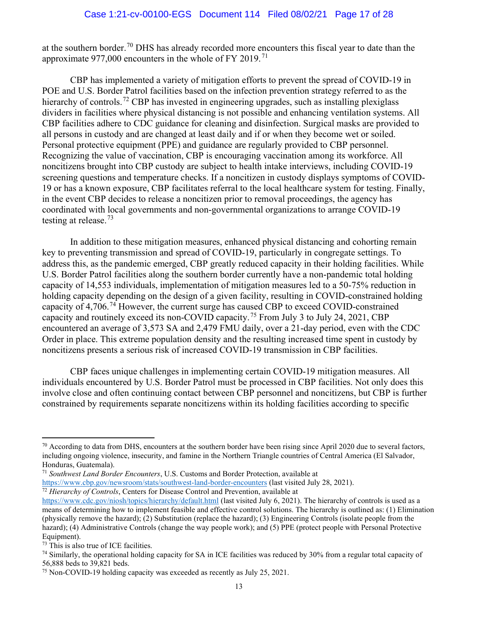at the southern border.<sup>70</sup> DHS has already recorded more encounters this fiscal year to date than the approximate 977,000 encounters in the whole of FY 2019.<sup>71</sup>

CBP has implemented a variety of mitigation efforts to prevent the spread of COVID-19 in POE and U.S. Border Patrol facilities based on the infection prevention strategy referred to as the hierarchy of controls.<sup>72</sup> CBP has invested in engineering upgrades, such as installing plexiglass dividers in facilities where physical distancing is not possible and enhancing ventilation systems. All CBP facilities adhere to CDC guidance for cleaning and disinfection. Surgical masks are provided to all persons in custody and are changed at least daily and if or when they become wet or soiled. Personal protective equipment (PPE) and guidance are regularly provided to CBP personnel. Recognizing the value of vaccination, CBP is encouraging vaccination among its workforce. All noncitizens brought into CBP custody are subject to health intake interviews, including COVID-19 screening questions and temperature checks. If a noncitizen in custody displays symptoms of COVID-19 or has a known exposure, CBP facilitates referral to the local healthcare system for testing. Finally, in the event CBP decides to release a noncitizen prior to removal proceedings, the agency has coordinated with local governments and non-governmental organizations to arrange COVID-19 testing at release.<sup>73</sup>

In addition to these mitigation measures, enhanced physical distancing and cohorting remain key to preventing transmission and spread of COVID-19, particularly in congregate settings. To address this, as the pandemic emerged, CBP greatly reduced capacity in their holding facilities. While U.S. Border Patrol facilities along the southern border currently have a non-pandemic total holding capacity of 14,553 individuals, implementation of mitigation measures led to a 50-75% reduction in holding capacity depending on the design of a given facility, resulting in COVID-constrained holding capacity of 4,706.<sup>74</sup> However, the current surge has caused CBP to exceed COVID-constrained capacity and routinely exceed its non-COVID capacity.<sup>75</sup> From July 3 to July 24, 2021, CBP encountered an average of 3,573 SA and 2,479 FMU daily, over a 21-day period, even with the CDC Order in place. This extreme population density and the resulting increased time spent in custody by noncitizens presents a serious risk of increased COVID-19 transmission in CBP facilities.

CBP faces unique challenges in implementing certain COVID-19 mitigation measures. All individuals encountered by U.S. Border Patrol must be processed in CBP facilities. Not only does this involve close and often continuing contact between CBP personnel and noncitizens, but CBP is further constrained by requirements separate noncitizens within its holding facilities according to specific

 $70$  According to data from DHS, encounters at the southern border have been rising since April 2020 due to several factors, including ongoing violence, insecurity, and famine in the Northern Triangle countries of Central America (El Salvador, Honduras, Guatemala).

 $71$  Southwest Land Border Encounters, U.S. Customs and Border Protection, available at

https://www.cbp.gov/newsroom/stats/southwest-land-border-encounters (last visited July 28, 2021).  $\frac{72}{12}$  Hierarchy of Controls, Centers for Disease Control and Prevention, available at

https://www.cdc.gov/niosh/topics/hierarchy/default.html (last visited July 6, 2021). The hierarchy of controls is used as a means of determining how to implement feasible and effective control solutions. The hierarchy is outlined as: (1) Elimination (physically remove the hazard); (2) Substitution (replace the hazard); (3) Engineering Controls (isolate people from the hazard); (4) Administrative Controls (change the way people work); and (5) PPE (protect people with Personal Protective Equipment).

<sup>73</sup> This is also true of ICE facilities.

 $74$  Similarly, the operational holding capacity for SA in ICE facilities was reduced by 30% from a regular total capacity of 56,888 beds to 39,821 beds.

<sup>75</sup> Non-COVID-19 holding capacity was exceeded as recently as July 25, 2021.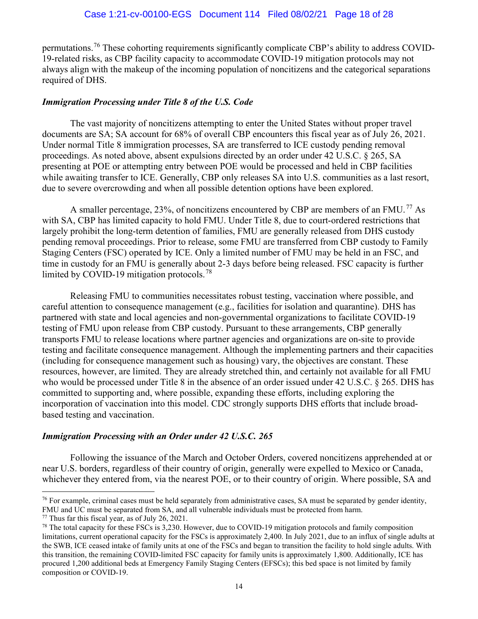permutations.<sup>76</sup> These cohorting requirements significantly complicate CBP's ability to address COVID-19-related risks, as CBP facility capacity to accommodate COVID-19 mitigation protocols may not always align with the makeup of the incoming population of noncitizens and the categorical separations required of DHS.

#### Immigration Processing under Title 8 of the U.S. Code

The vast majority of noncitizens attempting to enter the United States without proper travel documents are SA; SA account for 68% of overall CBP encounters this fiscal year as of July 26, 2021. Under normal Title 8 immigration processes, SA are transferred to ICE custody pending removal proceedings. As noted above, absent expulsions directed by an order under 42 U.S.C. § 265, SA presenting at POE or attempting entry between POE would be processed and held in CBP facilities while awaiting transfer to ICE. Generally, CBP only releases SA into U.S. communities as a last resort, due to severe overcrowding and when all possible detention options have been explored.

A smaller percentage, 23%, of noncitizens encountered by CBP are members of an FMU.<sup>77</sup> As with SA, CBP has limited capacity to hold FMU. Under Title 8, due to court-ordered restrictions that largely prohibit the long-term detention of families, FMU are generally released from DHS custody pending removal proceedings. Prior to release, some FMU are transferred from CBP custody to Family Staging Centers (FSC) operated by ICE. Only a limited number of FMU may be held in an FSC, and time in custody for an FMU is generally about 2-3 days before being released. FSC capacity is further limited by COVID-19 mitigation protocols.<sup>78</sup>

Releasing FMU to communities necessitates robust testing, vaccination where possible, and careful attention to consequence management (e.g., facilities for isolation and quarantine). DHS has partnered with state and local agencies and non-governmental organizations to facilitate COVID-19 testing of FMU upon release from CBP custody. Pursuant to these arrangements, CBP generally transports FMU to release locations where partner agencies and organizations are on-site to provide testing and facilitate consequence management. Although the implementing partners and their capacities (including for consequence management such as housing) vary, the objectives are constant. These resources, however, are limited. They are already stretched thin, and certainly not available for all FMU who would be processed under Title 8 in the absence of an order issued under 42 U.S.C. § 265. DHS has committed to supporting and, where possible, expanding these efforts, including exploring the incorporation of vaccination into this model. CDC strongly supports DHS efforts that include broadbased testing and vaccination.

#### Immigration Processing with an Order under 42 U.S.C. 265

Following the issuance of the March and October Orders, covered noncitizens apprehended at or near U.S. borders, regardless of their country of origin, generally were expelled to Mexico or Canada, whichever they entered from, via the nearest POE, or to their country of origin. Where possible, SA and

 $76$  For example, criminal cases must be held separately from administrative cases, SA must be separated by gender identity, FMU and UC must be separated from SA, and all vulnerable individuals must be protected from harm.

 $77$  Thus far this fiscal year, as of July 26, 2021.

<sup>&</sup>lt;sup>78</sup> The total capacity for these FSCs is 3,230. However, due to COVID-19 mitigation protocols and family composition limitations, current operational capacity for the FSCs is approximately 2,400. In July 2021, due to an influx of single adults at the SWB, ICE ceased intake of family units at one of the FSCs and began to transition the facility to hold single adults. With this transition, the remaining COVID-limited FSC capacity for family units is approximately 1,800. Additionally, ICE has procured 1,200 additional beds at Emergency Family Staging Centers (EFSCs); this bed space is not limited by family composition or COVID-19.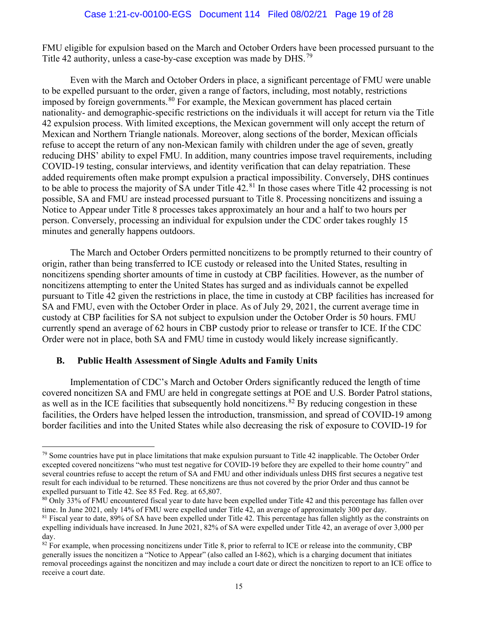FMU eligible for expulsion based on the March and October Orders have been processed pursuant to the Title 42 authority, unless a case-by-case exception was made by DHS.<sup>79</sup>

Even with the March and October Orders in place, a significant percentage of FMU were unable to be expelled pursuant to the order, given a range of factors, including, most notably, restrictions imposed by foreign governments.<sup>80</sup> For example, the Mexican government has placed certain nationality- and demographic-specific restrictions on the individuals it will accept for return via the Title 42 expulsion process. With limited exceptions, the Mexican government will only accept the return of Mexican and Northern Triangle nationals. Moreover, along sections of the border, Mexican officials refuse to accept the return of any non-Mexican family with children under the age of seven, greatly reducing DHS' ability to expel FMU. In addition, many countries impose travel requirements, including COVID-19 testing, consular interviews, and identity verification that can delay repatriation. These added requirements often make prompt expulsion a practical impossibility. Conversely, DHS continues to be able to process the majority of SA under Title 42.<sup>81</sup> In those cases where Title 42 processing is not possible, SA and FMU are instead processed pursuant to Title 8. Processing noncitizens and issuing a Notice to Appear under Title 8 processes takes approximately an hour and a half to two hours per person. Conversely, processing an individual for expulsion under the CDC order takes roughly 15 minutes and generally happens outdoors.

The March and October Orders permitted noncitizens to be promptly returned to their country of origin, rather than being transferred to ICE custody or released into the United States, resulting in noncitizens spending shorter amounts of time in custody at CBP facilities. However, as the number of noncitizens attempting to enter the United States has surged and as individuals cannot be expelled pursuant to Title 42 given the restrictions in place, the time in custody at CBP facilities has increased for SA and FMU, even with the October Order in place. As of July 29, 2021, the current average time in custody at CBP facilities for SA not subject to expulsion under the October Order is 50 hours. FMU currently spend an average of 62 hours in CBP custody prior to release or transfer to ICE. If the CDC Order were not in place, both SA and FMU time in custody would likely increase significantly.

## B. Public Health Assessment of Single Adults and Family Units

Implementation of CDC's March and October Orders significantly reduced the length of time covered noncitizen SA and FMU are held in congregate settings at POE and U.S. Border Patrol stations, as well as in the ICE facilities that subsequently hold noncitizens.<sup>82</sup> By reducing congestion in these facilities, the Orders have helped lessen the introduction, transmission, and spread of COVID-19 among border facilities and into the United States while also decreasing the risk of exposure to COVID-19 for

 $79$  Some countries have put in place limitations that make expulsion pursuant to Title 42 inapplicable. The October Order excepted covered noncitizens "who must test negative for COVID-19 before they are expelled to their home country" and several countries refuse to accept the return of SA and FMU and other individuals unless DHS first secures a negative test result for each individual to be returned. These noncitizens are thus not covered by the prior Order and thus cannot be expelled pursuant to Title 42. See 85 Fed. Reg. at 65,807.

<sup>80</sup> Only 33% of FMU encountered fiscal year to date have been expelled under Title 42 and this percentage has fallen over time. In June 2021, only 14% of FMU were expelled under Title 42, an average of approximately 300 per day.

 $81$  Fiscal year to date,  $89\%$  of SA have been expelled under Title 42. This percentage has fallen slightly as the constraints on expelling individuals have increased. In June 2021, 82% of SA were expelled under Title 42, an average of over 3,000 per day.

<sup>&</sup>lt;sup>82</sup> For example, when processing noncitizens under Title 8, prior to referral to ICE or release into the community, CBP generally issues the noncitizen a "Notice to Appear" (also called an I-862), which is a charging document that initiates removal proceedings against the noncitizen and may include a court date or direct the noncitizen to report to an ICE office to receive a court date.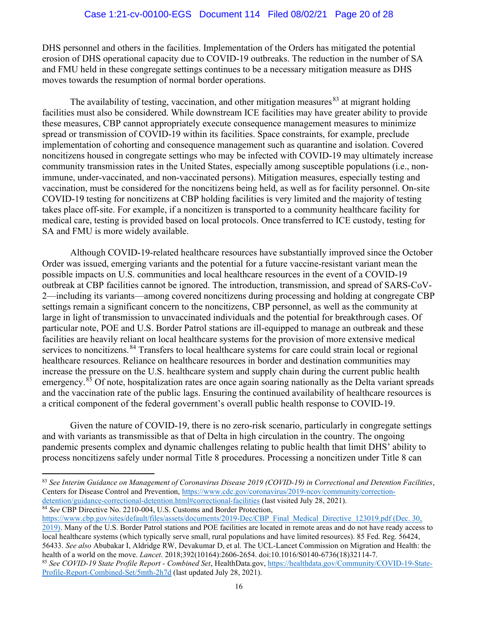DHS personnel and others in the facilities. Implementation of the Orders has mitigated the potential erosion of DHS operational capacity due to COVID-19 outbreaks. The reduction in the number of SA and FMU held in these congregate settings continues to be a necessary mitigation measure as DHS moves towards the resumption of normal border operations.

The availability of testing, vaccination, and other mitigation measures  $83$  at migrant holding facilities must also be considered. While downstream ICE facilities may have greater ability to provide these measures, CBP cannot appropriately execute consequence management measures to minimize spread or transmission of COVID-19 within its facilities. Space constraints, for example, preclude implementation of cohorting and consequence management such as quarantine and isolation. Covered noncitizens housed in congregate settings who may be infected with COVID-19 may ultimately increase community transmission rates in the United States, especially among susceptible populations (i.e., nonimmune, under-vaccinated, and non-vaccinated persons). Mitigation measures, especially testing and vaccination, must be considered for the noncitizens being held, as well as for facility personnel. On-site COVID-19 testing for noncitizens at CBP holding facilities is very limited and the majority of testing takes place off-site. For example, if a noncitizen is transported to a community healthcare facility for medical care, testing is provided based on local protocols. Once transferred to ICE custody, testing for SA and FMU is more widely available.

Although COVID-19-related healthcare resources have substantially improved since the October Order was issued, emerging variants and the potential for a future vaccine-resistant variant mean the possible impacts on U.S. communities and local healthcare resources in the event of a COVID-19 outbreak at CBP facilities cannot be ignored. The introduction, transmission, and spread of SARS-CoV-2—including its variants—among covered noncitizens during processing and holding at congregate CBP settings remain a significant concern to the noncitizens, CBP personnel, as well as the community at large in light of transmission to unvaccinated individuals and the potential for breakthrough cases. Of particular note, POE and U.S. Border Patrol stations are ill-equipped to manage an outbreak and these facilities are heavily reliant on local healthcare systems for the provision of more extensive medical services to noncitizens.<sup>84</sup> Transfers to local healthcare systems for care could strain local or regional healthcare resources. Reliance on healthcare resources in border and destination communities may increase the pressure on the U.S. healthcare system and supply chain during the current public health emergency.<sup>85</sup> Of note, hospitalization rates are once again soaring nationally as the Delta variant spreads and the vaccination rate of the public lags. Ensuring the continued availability of healthcare resources is a critical component of the federal government's overall public health response to COVID-19.

Given the nature of COVID-19, there is no zero-risk scenario, particularly in congregate settings and with variants as transmissible as that of Delta in high circulation in the country. The ongoing pandemic presents complex and dynamic challenges relating to public health that limit DHS' ability to process noncitizens safely under normal Title 8 procedures. Processing a noncitizen under Title 8 can

 $83$  See Interim Guidance on Management of Coronavirus Disease 2019 (COVID-19) in Correctional and Detention Facilities, Centers for Disease Control and Prevention, https://www.cdc.gov/coronavirus/2019-ncov/community/correctiondetention/guidance-correctional-detention.html#correctional-facilities (last visited July 28, 2021).

<sup>&</sup>lt;sup>84</sup> See CBP Directive No. 2210-004, U.S. Customs and Border Protection,

https://www.cbp.gov/sites/default/files/assets/documents/2019-Dec/CBP\_Final\_Medical\_Directive\_123019.pdf (Dec. 30, 2019). Many of the U.S. Border Patrol stations and POE facilities are located in remote areas and do not have ready access to local healthcare systems (which typically serve small, rural populations and have limited resources). 85 Fed. Reg. 56424, 56433. See also Abubakar I, Aldridge RW, Devakumar D, et al. The UCL-Lancet Commission on Migration and Health: the health of a world on the move. Lancet. 2018;392(10164):2606-2654. doi:10.1016/S0140-6736(18)32114-7.

<sup>85</sup> See COVID-19 State Profile Report - Combined Set, HealthData.gov, https://healthdata.gov/Community/COVID-19-State-Profile-Report-Combined-Set/5mth-2h7d (last updated July 28, 2021).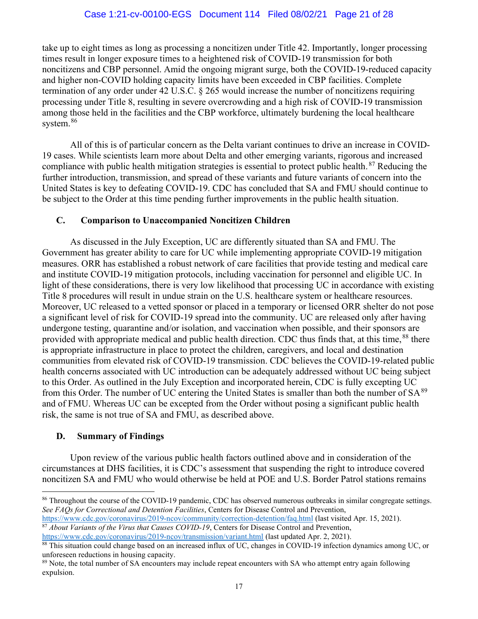take up to eight times as long as processing a noncitizen under Title 42. Importantly, longer processing times result in longer exposure times to a heightened risk of COVID-19 transmission for both noncitizens and CBP personnel. Amid the ongoing migrant surge, both the COVID-19-reduced capacity and higher non-COVID holding capacity limits have been exceeded in CBP facilities. Complete termination of any order under 42 U.S.C. § 265 would increase the number of noncitizens requiring processing under Title 8, resulting in severe overcrowding and a high risk of COVID-19 transmission among those held in the facilities and the CBP workforce, ultimately burdening the local healthcare system.<sup>86</sup>

All of this is of particular concern as the Delta variant continues to drive an increase in COVID-19 cases. While scientists learn more about Delta and other emerging variants, rigorous and increased compliance with public health mitigation strategies is essential to protect public health.<sup>87</sup> Reducing the further introduction, transmission, and spread of these variants and future variants of concern into the United States is key to defeating COVID-19. CDC has concluded that SA and FMU should continue to be subject to the Order at this time pending further improvements in the public health situation.

## C. Comparison to Unaccompanied Noncitizen Children

As discussed in the July Exception, UC are differently situated than SA and FMU. The Government has greater ability to care for UC while implementing appropriate COVID-19 mitigation measures. ORR has established a robust network of care facilities that provide testing and medical care and institute COVID-19 mitigation protocols, including vaccination for personnel and eligible UC. In light of these considerations, there is very low likelihood that processing UC in accordance with existing Title 8 procedures will result in undue strain on the U.S. healthcare system or healthcare resources. Moreover, UC released to a vetted sponsor or placed in a temporary or licensed ORR shelter do not pose a significant level of risk for COVID-19 spread into the community. UC are released only after having undergone testing, quarantine and/or isolation, and vaccination when possible, and their sponsors are provided with appropriate medical and public health direction. CDC thus finds that, at this time,<sup>88</sup> there is appropriate infrastructure in place to protect the children, caregivers, and local and destination communities from elevated risk of COVID-19 transmission. CDC believes the COVID-19-related public health concerns associated with UC introduction can be adequately addressed without UC being subject to this Order. As outlined in the July Exception and incorporated herein, CDC is fully excepting UC from this Order. The number of UC entering the United States is smaller than both the number of  $SA^{89}$ and of FMU. Whereas UC can be excepted from the Order without posing a significant public health risk, the same is not true of SA and FMU, as described above.

## D. Summary of Findings

Upon review of the various public health factors outlined above and in consideration of the circumstances at DHS facilities, it is CDC's assessment that suspending the right to introduce covered noncitizen SA and FMU who would otherwise be held at POE and U.S. Border Patrol stations remains

<sup>86</sup> Throughout the course of the COVID-19 pandemic, CDC has observed numerous outbreaks in similar congregate settings. See FAQs for Correctional and Detention Facilities, Centers for Disease Control and Prevention,

https://www.cdc.gov/coronavirus/2019-ncov/community/correction-detention/faq.html (last visited Apr. 15, 2021). <sup>87</sup> About Variants of the Virus that Causes COVID-19, Centers for Disease Control and Prevention,

https://www.cdc.gov/coronavirus/2019-ncov/transmission/variant.html (last updated Apr. 2, 2021). <sup>88</sup> This situation could change based on an increased influx of UC, changes in COVID-19 infection dynamics among UC, or

unforeseen reductions in housing capacity.

<sup>&</sup>lt;sup>89</sup> Note, the total number of SA encounters may include repeat encounters with SA who attempt entry again following expulsion.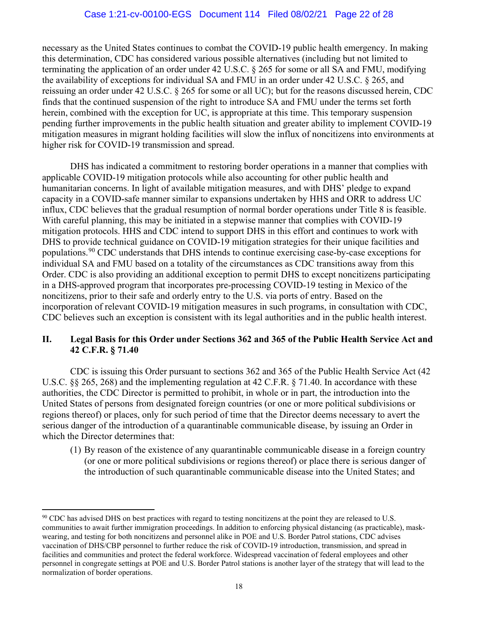necessary as the United States continues to combat the COVID-19 public health emergency. In making this determination, CDC has considered various possible alternatives (including but not limited to terminating the application of an order under 42 U.S.C. § 265 for some or all SA and FMU, modifying the availability of exceptions for individual SA and FMU in an order under 42 U.S.C. § 265, and reissuing an order under 42 U.S.C. § 265 for some or all UC); but for the reasons discussed herein, CDC finds that the continued suspension of the right to introduce SA and FMU under the terms set forth herein, combined with the exception for UC, is appropriate at this time. This temporary suspension pending further improvements in the public health situation and greater ability to implement COVID-19 mitigation measures in migrant holding facilities will slow the influx of noncitizens into environments at higher risk for COVID-19 transmission and spread.

DHS has indicated a commitment to restoring border operations in a manner that complies with applicable COVID-19 mitigation protocols while also accounting for other public health and humanitarian concerns. In light of available mitigation measures, and with DHS' pledge to expand capacity in a COVID-safe manner similar to expansions undertaken by HHS and ORR to address UC influx, CDC believes that the gradual resumption of normal border operations under Title 8 is feasible. With careful planning, this may be initiated in a stepwise manner that complies with COVID-19 mitigation protocols. HHS and CDC intend to support DHS in this effort and continues to work with DHS to provide technical guidance on COVID-19 mitigation strategies for their unique facilities and populations.<sup>90</sup> CDC understands that DHS intends to continue exercising case-by-case exceptions for individual SA and FMU based on a totality of the circumstances as CDC transitions away from this Order. CDC is also providing an additional exception to permit DHS to except noncitizens participating in a DHS-approved program that incorporates pre-processing COVID-19 testing in Mexico of the noncitizens, prior to their safe and orderly entry to the U.S. via ports of entry. Based on the incorporation of relevant COVID-19 mitigation measures in such programs, in consultation with CDC, CDC believes such an exception is consistent with its legal authorities and in the public health interest.

## II. Legal Basis for this Order under Sections 362 and 365 of the Public Health Service Act and 42 C.F.R. § 71.40

CDC is issuing this Order pursuant to sections 362 and 365 of the Public Health Service Act (42 U.S.C. §§ 265, 268) and the implementing regulation at 42 C.F.R. § 71.40. In accordance with these authorities, the CDC Director is permitted to prohibit, in whole or in part, the introduction into the United States of persons from designated foreign countries (or one or more political subdivisions or regions thereof) or places, only for such period of time that the Director deems necessary to avert the serious danger of the introduction of a quarantinable communicable disease, by issuing an Order in which the Director determines that:

(1) By reason of the existence of any quarantinable communicable disease in a foreign country (or one or more political subdivisions or regions thereof) or place there is serious danger of the introduction of such quarantinable communicable disease into the United States; and

<sup>90</sup> CDC has advised DHS on best practices with regard to testing noncitizens at the point they are released to U.S. communities to await further immigration proceedings. In addition to enforcing physical distancing (as practicable), maskwearing, and testing for both noncitizens and personnel alike in POE and U.S. Border Patrol stations, CDC advises vaccination of DHS/CBP personnel to further reduce the risk of COVID-19 introduction, transmission, and spread in facilities and communities and protect the federal workforce. Widespread vaccination of federal employees and other personnel in congregate settings at POE and U.S. Border Patrol stations is another layer of the strategy that will lead to the normalization of border operations.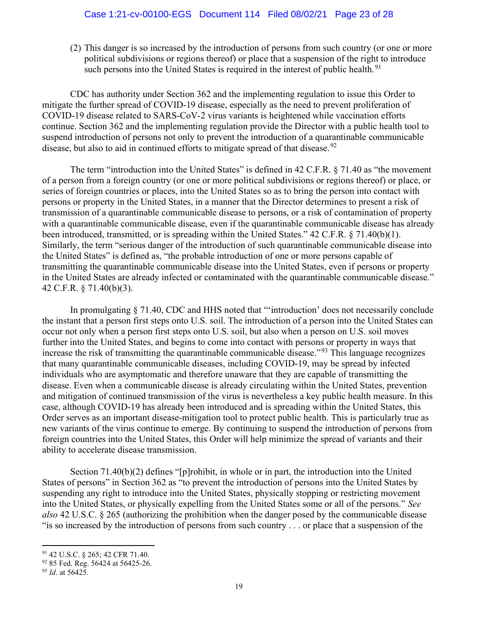(2) This danger is so increased by the introduction of persons from such country (or one or more political subdivisions or regions thereof) or place that a suspension of the right to introduce such persons into the United States is required in the interest of public health.<sup>91</sup>

CDC has authority under Section 362 and the implementing regulation to issue this Order to mitigate the further spread of COVID-19 disease, especially as the need to prevent proliferation of COVID-19 disease related to SARS-CoV-2 virus variants is heightened while vaccination efforts continue. Section 362 and the implementing regulation provide the Director with a public health tool to suspend introduction of persons not only to prevent the introduction of a quarantinable communicable disease, but also to aid in continued efforts to mitigate spread of that disease.<sup>92</sup>

The term "introduction into the United States" is defined in 42 C.F.R. § 71.40 as "the movement of a person from a foreign country (or one or more political subdivisions or regions thereof) or place, or series of foreign countries or places, into the United States so as to bring the person into contact with persons or property in the United States, in a manner that the Director determines to present a risk of transmission of a quarantinable communicable disease to persons, or a risk of contamination of property with a quarantinable communicable disease, even if the quarantinable communicable disease has already been introduced, transmitted, or is spreading within the United States." 42 C.F.R. § 71.40(b)(1). Similarly, the term "serious danger of the introduction of such quarantinable communicable disease into the United States" is defined as, "the probable introduction of one or more persons capable of transmitting the quarantinable communicable disease into the United States, even if persons or property in the United States are already infected or contaminated with the quarantinable communicable disease." 42 C.F.R. § 71.40(b)(3).

In promulgating § 71.40, CDC and HHS noted that "'introduction' does not necessarily conclude the instant that a person first steps onto U.S. soil. The introduction of a person into the United States can occur not only when a person first steps onto U.S. soil, but also when a person on U.S. soil moves further into the United States, and begins to come into contact with persons or property in ways that increase the risk of transmitting the quarantinable communicable disease."<sup>93</sup> This language recognizes that many quarantinable communicable diseases, including COVID-19, may be spread by infected individuals who are asymptomatic and therefore unaware that they are capable of transmitting the disease. Even when a communicable disease is already circulating within the United States, prevention and mitigation of continued transmission of the virus is nevertheless a key public health measure. In this case, although COVID-19 has already been introduced and is spreading within the United States, this Order serves as an important disease-mitigation tool to protect public health. This is particularly true as new variants of the virus continue to emerge. By continuing to suspend the introduction of persons from foreign countries into the United States, this Order will help minimize the spread of variants and their ability to accelerate disease transmission.

Section 71.40(b)(2) defines "[p]rohibit, in whole or in part, the introduction into the United States of persons" in Section 362 as "to prevent the introduction of persons into the United States by suspending any right to introduce into the United States, physically stopping or restricting movement into the United States, or physically expelling from the United States some or all of the persons." See also 42 U.S.C. § 265 (authorizing the prohibition when the danger posed by the communicable disease "is so increased by the introduction of persons from such country . . . or place that a suspension of the

<sup>91</sup> 42 U.S.C. § 265; 42 CFR 71.40.

<sup>&</sup>lt;sup>92</sup> 85 Fed. Reg. 56424 at 56425-26.

<sup>93</sup> *Id.* at 56425.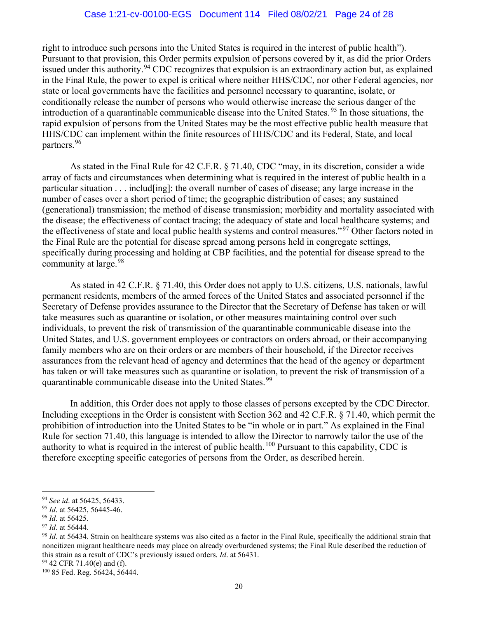right to introduce such persons into the United States is required in the interest of public health"). Pursuant to that provision, this Order permits expulsion of persons covered by it, as did the prior Orders issued under this authority.<sup>94</sup> CDC recognizes that expulsion is an extraordinary action but, as explained in the Final Rule, the power to expel is critical where neither HHS/CDC, nor other Federal agencies, nor state or local governments have the facilities and personnel necessary to quarantine, isolate, or conditionally release the number of persons who would otherwise increase the serious danger of the introduction of a quarantinable communicable disease into the United States.<sup>95</sup> In those situations, the rapid expulsion of persons from the United States may be the most effective public health measure that HHS/CDC can implement within the finite resources of HHS/CDC and its Federal, State, and local partners.<sup>96</sup>

As stated in the Final Rule for 42 C.F.R. § 71.40, CDC "may, in its discretion, consider a wide array of facts and circumstances when determining what is required in the interest of public health in a particular situation . . . includ[ing]: the overall number of cases of disease; any large increase in the number of cases over a short period of time; the geographic distribution of cases; any sustained (generational) transmission; the method of disease transmission; morbidity and mortality associated with the disease; the effectiveness of contact tracing; the adequacy of state and local healthcare systems; and the effectiveness of state and local public health systems and control measures." <sup>97</sup> Other factors noted in the Final Rule are the potential for disease spread among persons held in congregate settings, specifically during processing and holding at CBP facilities, and the potential for disease spread to the community at large.<sup>98</sup>

As stated in 42 C.F.R. § 71.40, this Order does not apply to U.S. citizens, U.S. nationals, lawful permanent residents, members of the armed forces of the United States and associated personnel if the Secretary of Defense provides assurance to the Director that the Secretary of Defense has taken or will take measures such as quarantine or isolation, or other measures maintaining control over such individuals, to prevent the risk of transmission of the quarantinable communicable disease into the United States, and U.S. government employees or contractors on orders abroad, or their accompanying family members who are on their orders or are members of their household, if the Director receives assurances from the relevant head of agency and determines that the head of the agency or department has taken or will take measures such as quarantine or isolation, to prevent the risk of transmission of a quarantinable communicable disease into the United States.<sup>99</sup>

In addition, this Order does not apply to those classes of persons excepted by the CDC Director. Including exceptions in the Order is consistent with Section 362 and 42 C.F.R. § 71.40, which permit the prohibition of introduction into the United States to be "in whole or in part." As explained in the Final Rule for section 71.40, this language is intended to allow the Director to narrowly tailor the use of the authority to what is required in the interest of public health.<sup>100</sup> Pursuant to this capability, CDC is therefore excepting specific categories of persons from the Order, as described herein.

<sup>94</sup> See id. at 56425, 56433.

 $95$  *Id.* at 56425, 56445-46.

<sup>&</sup>lt;sup>96</sup> *Id.* at 56425.

 $97$  *Id.* at 56444.

 $98$  *Id.* at 56434. Strain on healthcare systems was also cited as a factor in the Final Rule, specifically the additional strain that noncitizen migrant healthcare needs may place on already overburdened systems; the Final Rule described the reduction of this strain as a result of CDC's previously issued orders. Id. at 56431.

<sup>99</sup> 42 CFR 71.40(e) and (f).

<sup>100</sup> 85 Fed. Reg. 56424, 56444.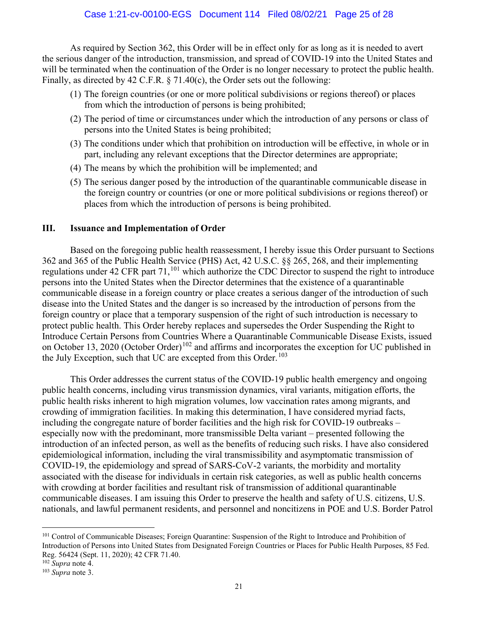As required by Section 362, this Order will be in effect only for as long as it is needed to avert the serious danger of the introduction, transmission, and spread of COVID-19 into the United States and will be terminated when the continuation of the Order is no longer necessary to protect the public health. Finally, as directed by 42 C.F.R. § 71.40(c), the Order sets out the following:

- (1) The foreign countries (or one or more political subdivisions or regions thereof) or places from which the introduction of persons is being prohibited;
- (2) The period of time or circumstances under which the introduction of any persons or class of persons into the United States is being prohibited;
- (3) The conditions under which that prohibition on introduction will be effective, in whole or in part, including any relevant exceptions that the Director determines are appropriate;
- (4) The means by which the prohibition will be implemented; and
- (5) The serious danger posed by the introduction of the quarantinable communicable disease in the foreign country or countries (or one or more political subdivisions or regions thereof) or places from which the introduction of persons is being prohibited.

#### III. Issuance and Implementation of Order

Based on the foregoing public health reassessment, I hereby issue this Order pursuant to Sections 362 and 365 of the Public Health Service (PHS) Act, 42 U.S.C. §§ 265, 268, and their implementing regulations under 42 CFR part 71,<sup>101</sup> which authorize the CDC Director to suspend the right to introduce persons into the United States when the Director determines that the existence of a quarantinable communicable disease in a foreign country or place creates a serious danger of the introduction of such disease into the United States and the danger is so increased by the introduction of persons from the foreign country or place that a temporary suspension of the right of such introduction is necessary to protect public health. This Order hereby replaces and supersedes the Order Suspending the Right to Introduce Certain Persons from Countries Where a Quarantinable Communicable Disease Exists, issued on October 13, 2020 (October Order)<sup>102</sup> and affirms and incorporates the exception for UC published in the July Exception, such that UC are excepted from this Order.<sup>103</sup>

This Order addresses the current status of the COVID-19 public health emergency and ongoing public health concerns, including virus transmission dynamics, viral variants, mitigation efforts, the public health risks inherent to high migration volumes, low vaccination rates among migrants, and crowding of immigration facilities. In making this determination, I have considered myriad facts, including the congregate nature of border facilities and the high risk for COVID-19 outbreaks – especially now with the predominant, more transmissible Delta variant – presented following the introduction of an infected person, as well as the benefits of reducing such risks. I have also considered epidemiological information, including the viral transmissibility and asymptomatic transmission of COVID-19, the epidemiology and spread of SARS-CoV-2 variants, the morbidity and mortality associated with the disease for individuals in certain risk categories, as well as public health concerns with crowding at border facilities and resultant risk of transmission of additional quarantinable communicable diseases. I am issuing this Order to preserve the health and safety of U.S. citizens, U.S. nationals, and lawful permanent residents, and personnel and noncitizens in POE and U.S. Border Patrol

<sup>&</sup>lt;sup>101</sup> Control of Communicable Diseases; Foreign Quarantine: Suspension of the Right to Introduce and Prohibition of Introduction of Persons into United States from Designated Foreign Countries or Places for Public Health Purposes, 85 Fed. Reg. 56424 (Sept. 11, 2020); 42 CFR 71.40.

 $102$  Supra note 4.

 $103$  Supra note 3.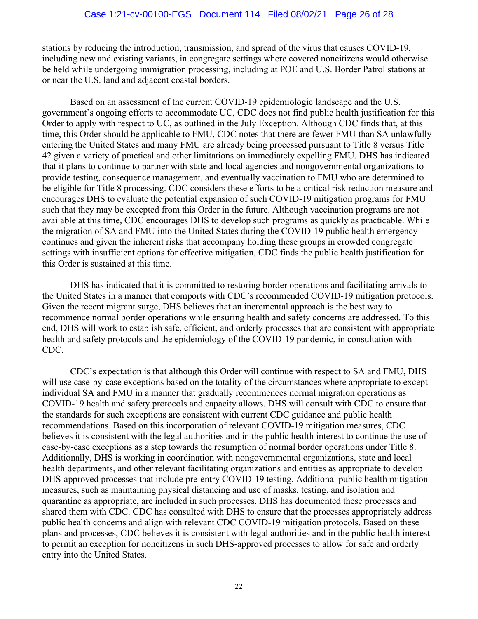stations by reducing the introduction, transmission, and spread of the virus that causes COVID-19, including new and existing variants, in congregate settings where covered noncitizens would otherwise be held while undergoing immigration processing, including at POE and U.S. Border Patrol stations at or near the U.S. land and adjacent coastal borders.

Based on an assessment of the current COVID-19 epidemiologic landscape and the U.S. government's ongoing efforts to accommodate UC, CDC does not find public health justification for this Order to apply with respect to UC, as outlined in the July Exception. Although CDC finds that, at this time, this Order should be applicable to FMU, CDC notes that there are fewer FMU than SA unlawfully entering the United States and many FMU are already being processed pursuant to Title 8 versus Title 42 given a variety of practical and other limitations on immediately expelling FMU. DHS has indicated that it plans to continue to partner with state and local agencies and nongovernmental organizations to provide testing, consequence management, and eventually vaccination to FMU who are determined to be eligible for Title 8 processing. CDC considers these efforts to be a critical risk reduction measure and encourages DHS to evaluate the potential expansion of such COVID-19 mitigation programs for FMU such that they may be excepted from this Order in the future. Although vaccination programs are not available at this time, CDC encourages DHS to develop such programs as quickly as practicable. While the migration of SA and FMU into the United States during the COVID-19 public health emergency continues and given the inherent risks that accompany holding these groups in crowded congregate settings with insufficient options for effective mitigation, CDC finds the public health justification for this Order is sustained at this time.

DHS has indicated that it is committed to restoring border operations and facilitating arrivals to the United States in a manner that comports with CDC's recommended COVID-19 mitigation protocols. Given the recent migrant surge, DHS believes that an incremental approach is the best way to recommence normal border operations while ensuring health and safety concerns are addressed. To this end, DHS will work to establish safe, efficient, and orderly processes that are consistent with appropriate health and safety protocols and the epidemiology of the COVID-19 pandemic, in consultation with CDC.

CDC's expectation is that although this Order will continue with respect to SA and FMU, DHS will use case-by-case exceptions based on the totality of the circumstances where appropriate to except individual SA and FMU in a manner that gradually recommences normal migration operations as COVID-19 health and safety protocols and capacity allows. DHS will consult with CDC to ensure that the standards for such exceptions are consistent with current CDC guidance and public health recommendations. Based on this incorporation of relevant COVID-19 mitigation measures, CDC believes it is consistent with the legal authorities and in the public health interest to continue the use of case-by-case exceptions as a step towards the resumption of normal border operations under Title 8. Additionally, DHS is working in coordination with nongovernmental organizations, state and local health departments, and other relevant facilitating organizations and entities as appropriate to develop DHS-approved processes that include pre-entry COVID-19 testing. Additional public health mitigation measures, such as maintaining physical distancing and use of masks, testing, and isolation and quarantine as appropriate, are included in such processes. DHS has documented these processes and shared them with CDC. CDC has consulted with DHS to ensure that the processes appropriately address public health concerns and align with relevant CDC COVID-19 mitigation protocols. Based on these plans and processes, CDC believes it is consistent with legal authorities and in the public health interest to permit an exception for noncitizens in such DHS-approved processes to allow for safe and orderly entry into the United States.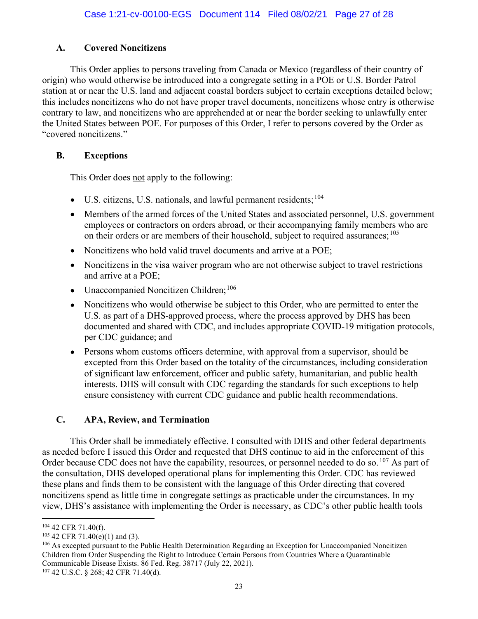# A. Covered Noncitizens

This Order applies to persons traveling from Canada or Mexico (regardless of their country of origin) who would otherwise be introduced into a congregate setting in a POE or U.S. Border Patrol station at or near the U.S. land and adjacent coastal borders subject to certain exceptions detailed below; this includes noncitizens who do not have proper travel documents, noncitizens whose entry is otherwise contrary to law, and noncitizens who are apprehended at or near the border seeking to unlawfully enter the United States between POE. For purposes of this Order, I refer to persons covered by the Order as "covered noncitizens."

# B. Exceptions

This Order does not apply to the following:

- U.S. citizens, U.S. nationals, and lawful permanent residents;<sup>104</sup>
- Members of the armed forces of the United States and associated personnel, U.S. government employees or contractors on orders abroad, or their accompanying family members who are on their orders or are members of their household, subject to required assurances; <sup>105</sup>
- Noncitizens who hold valid travel documents and arrive at a POE:
- Noncitizens in the visa waiver program who are not otherwise subject to travel restrictions and arrive at a POE;
- Unaccompanied Noncitizen Children: 106
- Noncitizens who would otherwise be subject to this Order, who are permitted to enter the U.S. as part of a DHS-approved process, where the process approved by DHS has been documented and shared with CDC, and includes appropriate COVID-19 mitigation protocols, per CDC guidance; and
- Persons whom customs officers determine, with approval from a supervisor, should be excepted from this Order based on the totality of the circumstances, including consideration of significant law enforcement, officer and public safety, humanitarian, and public health interests. DHS will consult with CDC regarding the standards for such exceptions to help ensure consistency with current CDC guidance and public health recommendations.

# C. APA, Review, and Termination

This Order shall be immediately effective. I consulted with DHS and other federal departments as needed before I issued this Order and requested that DHS continue to aid in the enforcement of this Order because CDC does not have the capability, resources, or personnel needed to do so. <sup>107</sup> As part of the consultation, DHS developed operational plans for implementing this Order. CDC has reviewed these plans and finds them to be consistent with the language of this Order directing that covered noncitizens spend as little time in congregate settings as practicable under the circumstances. In my view, DHS's assistance with implementing the Order is necessary, as CDC's other public health tools

<sup>104</sup> 42 CFR 71.40(f).

 $105$  42 CFR 71.40(e)(1) and (3).

<sup>&</sup>lt;sup>106</sup> As excepted pursuant to the Public Health Determination Regarding an Exception for Unaccompanied Noncitizen Children from Order Suspending the Right to Introduce Certain Persons from Countries Where a Quarantinable Communicable Disease Exists. 86 Fed. Reg. 38717 (July 22, 2021).

<sup>107</sup> 42 U.S.C. § 268; 42 CFR 71.40(d).